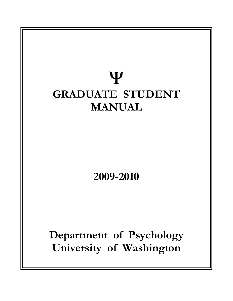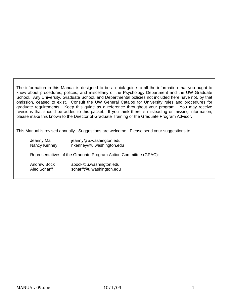The information in this Manual is designed to be a quick guide to all the information that you ought to know about procedures, polices, and miscellany of the Psychology Department and the UW Graduate School. Any University, Graduate School, and Departmental policies not included here have not, by that omission, ceased to exist. Consult the UW General Catalog for University rules and procedures for graduate requirements. Keep this guide as a reference throughout your program. You may receive revisions that should be added to this packet. If you think there is misleading or missing information, please make this known to the Director of Graduate Training or the Graduate Program Advisor.

This Manual is revised annually. Suggestions are welcome. Please send your suggestions to:

| Jeanny Mai<br>Nancy Kenney  | jeanny@u.washington.edu<br>nkenney@u.washington.edu              |
|-----------------------------|------------------------------------------------------------------|
|                             | Representatives of the Graduate Program Action Committee (GPAC): |
| Andrew Bock<br>Alec Scharff | abock@u.washington.edu<br>scharff@u.washington.edu               |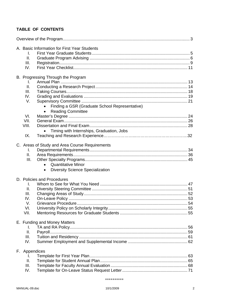# TABLE OF CONTENTS

|  | A. Basic Information for First Year Students |                                                |  |
|--|----------------------------------------------|------------------------------------------------|--|
|  | I.                                           |                                                |  |
|  | II.                                          |                                                |  |
|  | III.                                         |                                                |  |
|  | IV.                                          |                                                |  |
|  |                                              |                                                |  |
|  |                                              | B. Progressing Through the Program             |  |
|  | I.                                           |                                                |  |
|  | II.                                          |                                                |  |
|  | III.                                         |                                                |  |
|  | IV.                                          |                                                |  |
|  | V.                                           |                                                |  |
|  |                                              | Finding a GSR (Graduate School Representative) |  |
|  |                                              | <b>Reading Committee</b>                       |  |
|  | VI.                                          |                                                |  |
|  | VII.                                         |                                                |  |
|  | VIII.                                        |                                                |  |
|  |                                              | Timing with Internships, Graduation, Jobs      |  |
|  | IX.                                          |                                                |  |
|  |                                              |                                                |  |
|  |                                              | C. Areas of Study and Area Course Requirements |  |
|  | I.                                           |                                                |  |
|  | Ш.                                           |                                                |  |
|  | III.                                         |                                                |  |
|  |                                              | <b>Quantitative Minor</b><br>$\bullet$         |  |
|  |                                              | <b>Diversity Science Specialization</b>        |  |
|  |                                              | D. Policies and Procedures                     |  |
|  | I.                                           |                                                |  |
|  | ΙΙ.                                          |                                                |  |
|  | III.                                         |                                                |  |
|  | IV.                                          |                                                |  |
|  | V.                                           |                                                |  |
|  | VI.                                          |                                                |  |
|  | VII.                                         |                                                |  |
|  |                                              |                                                |  |
|  |                                              | E. Funding and Money Matters                   |  |
|  | Τ.                                           |                                                |  |
|  | ΙΙ.                                          |                                                |  |
|  | III.                                         |                                                |  |
|  | IV.                                          |                                                |  |
|  | F. Appendices                                |                                                |  |
|  | I.                                           |                                                |  |
|  | Ⅱ.                                           |                                                |  |
|  | III.                                         |                                                |  |
|  | IV.                                          |                                                |  |
|  |                                              |                                                |  |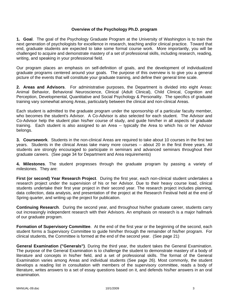# **Overview of the Psychology Ph.D. program**

**1. Goal**. The goal of the Psychology Graduate Program at the University of Washington is to train the next generation of psychologists for excellence in research, teaching and/or clinical practice. Toward that end, graduate students are expected to take some formal course work. More importantly, you will be challenged to acquire and demonstrate mastery of a set of professional skills, including research, reading, writing, and speaking in your professional field.

Our program places an emphasis on self-definition of goals, and the development of individualized graduate programs centered around your goals. The purpose of this overview is to give you a general picture of the events that will constitute your graduate training, and define their general time scale.

**2. Areas and Advisors**. For administrative purposes, the Department is divided into eight Areas: Animal Behavior, Behavioral Neuroscience, Clinical (Adult Clinical), Child Clinical, Cognition and Perception, Developmental, Quantitative and Social Psychology & Personality. The specifics of graduate training vary somewhat among Areas, particularly between the clinical and non-clinical Areas.

Each student is admitted to the graduate program under the sponsorship of a particular faculty member, who becomes the student's Advisor. A Co-Advisor is also selected for each student. The Advisor and Co-Advisor help the student plan his/her course of study, and guide him/her in all aspects of graduate training. Each student is also assigned to an Area -- typically the Area to which his or her Advisor belongs.

**3. Coursework**. Students in the non-clinical Areas are required to take about 10 courses in the first two years. Students in the clinical Areas take many more courses -- about 20 in the first three years. All students are strongly encouraged to participate in seminars and advanced seminars throughout their graduate careers. (See page 34 for Department and Area requirements)

**4. Milestones**. The student progresses through the graduate program by passing a variety of milestones. They are:

**First (or second) Year Research Project**. During the first year, each non-clinical student undertakes a research project under the supervision of his or her Advisor. Due to their heavy course load, clinical students undertake their first year project in their second year. The research project includes planning, data collection, data analysis, and presentation of the project at the Research Festival held at the end of Spring quarter, and writing up the project for publication.

**Continuing Research**. During the second year, and throughout his/her graduate career, students carry out increasingly independent research with their Advisors. An emphasis on research is a major hallmark of our graduate program.

**Formation of Supervisory Committee**. At the end of the first year or the beginning of the second, each student forms a Supervisory Committee to guide him/her through the remainder of his/her program. For clinical students, the Committee is formed at the end of the second year. (See page 21)

**General Examination ("Generals")**. During the third year, the student takes the General Examination. The purpose of the General Examination is to challenge the student to demonstrate mastery of a body of literature and concepts in his/her field, and a set of professional skills. The format of the General Examination varies among Areas and individual students (See page 26). Most commonly, the student develops a reading list in consultation with members of the supervisory committee, reads a body of literature, writes answers to a set of essay questions based on it, and defends his/her answers in an oral examination.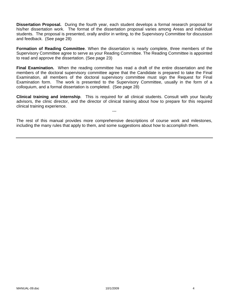**Dissertation Proposal.** During the fourth year, each student develops a formal research proposal for his/her dissertation work. The format of the dissertation proposal varies among Areas and individual students. The proposal is presented, orally and/or in writing, to the Supervisory Committee for discussion and feedback. (See page 28)

**Formation of Reading Committee**. When the dissertation is nearly complete, three members of the Supervisory Committee agree to serve as your Reading Committee. The Reading Committee is appointed to read and approve the dissertation. (See page 23)

**Final Examination.** When the reading committee has read a draft of the entire dissertation and the members of the doctoral supervisory committee agree that the Candidate is prepared to take the Final Examination, all members of the doctoral supervisory committee must sign the Request for Final Examination form. The work is presented to the Supervisory Committee, usually in the form of a colloquium, and a formal dissertation is completed. (See page 28)

**Clinical training and internship**. This is required for all clinical students. Consult with your faculty advisors, the clinic director, and the director of clinical training about how to prepare for this required clinical training experience.

---

The rest of this manual provides more comprehensive descriptions of course work and milestones, including the many rules that apply to them, and some suggestions about how to accomplish them.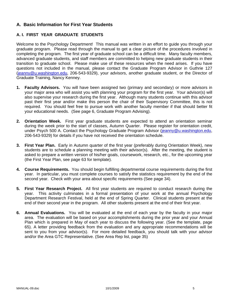# **A. Basic Information for First Year Students**

# **A. I. FIRST YEAR GRADUATE STUDENTS**

Welcome to the Psychology Department! This manual was written in an effort to guide you through your graduate program. Please read through the manual to get a clear picture of the procedures involved in completing the program. The first year of graduate school can be a difficult time. Many faculty members, advanced graduate students, and staff members are committed to helping new graduate students in their transition to graduate school. Please make use of these resources when the need arises. If you have questions not included in the manual, please contact the Graduate Program Advisor in Guthrie 127 (jeanny@u.washington.edu, 206-543-9329), your advisors, another graduate student, or the Director of Graduate Training, Nancy Kenney.

- **1. Faculty Advisors.** You will have been assigned two (primary and secondary) or more advisors in your major area who will assist you with planning your program for the first year. Your advisor(s) will also supervise your research during the first year. Although many students continue with this advisor past their first year and/or make this person the chair of their Supervisory Committee, this is not required. You should feel free to pursue work with another faculty member if that should better fit your educational needs. (See page 6, Graduate Program Advising).
- **2. Orientation Week.** First year graduate students are expected to attend an orientation seminar during the week prior to the start of classes, Autumn Quarter. Please register for orientation credit, under Psych 500 A. Contact the Psychology Graduate Program Advisor (jeanny@u.washington.edu, 206-543-9329) for details if you have not received the orientation schedule.
- **3. First Year Plan.** Early in Autumn quarter of the first year (preferably during Orientation Week), new students are to schedule a planning meeting with their advisor(s). After the meeting, the student is asked to prepare a written version of his/her goals, coursework, research, etc., for the upcoming year (the First Year Plan, see page 63 for template).
- **4. Course Requirements.** You should begin fulfilling departmental course requirements during the first year. In particular, you must complete courses to satisfy the statistics requirement by the end of the second year. Check with your area about specific requirements (See page 34).
- **5. First Year Research Project.** All first year students are required to conduct research during the year. This activity culminates in a formal presentation of your work at the annual Psychology Department Research Festival, held at the end of Spring Quarter. Clinical students present at the end of their second year in the program. All other students present at the end of their first year.
- **6. Annual Evaluations.** You will be evaluated at the end of each year by the faculty in your major area. The evaluation will be based on your accomplishments during the prior year and your Annual Plan which is prepared in May of each year to discuss the following year. (See the template, page 65). A letter providing feedback from the evaluation and any appropriate recommendations will be sent to you from your advisor(s). For more detailed feedback, you should talk with your advisor and/or the Area GTC Representative. (See Area Rep list, page 35)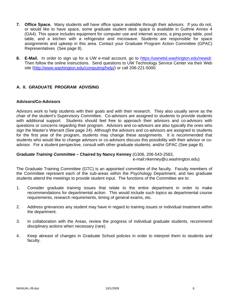- **7. Office Space.** Many students will have office space available through their advisors. If you do not, or would like to have space, some graduate student desk space is available in Guthrie Annex 4 (GA4). This space includes equipment for computer use and internet access, a ping-pong table, pool table, and a kitchen with a refrigerator and microwave. Students are responsible for space assignments and upkeep in this area. Contact your Graduate Program Action Committee (GPAC) Representatives (See page 8).
- **8. E-Mail.** In order to sign up for a UW e-mail account, go to https://uwnetid.washington.edu/newid/. Then follow the online instructions. Send questions to UW Technology Service Center via their Web site (http://www.washington.edu/computing/help/) or call 206-221-5000.

# **A. II. GRADUATE PROGRAM ADVISING**

# **Advisors/Co-Advisors**

Advisors work to help students with their goals and with their research. They also usually serve as the chair of the student's Supervisory Committee. Co-advisors are assigned to students to provide students with additional support. Students should feel free to approach their advisors and co-advisors with questions or concerns regarding their program. Advisors and co-advisors are also typically the ones who sign the Master's Warrant (See page 24). Although the advisors and co-advisors are assigned to students for the first year of the program, students may change these assignments. It is recommended that students who would like to change advisors or co-advisors discuss this possibility with their advisor or coadvisor. For a student perspective, consult with other graduate students, and/or GPAC (See page 8).

#### *Graduate Training Committee –* **Chaired by Nancy Kenney** (G306, 206-543-2563,

e-mail:nkenney@u.washington.edu)

The Graduate Training Committee (GTC) is an appointed committee of the faculty. Faculty members of the Committee represent each of the sub-areas within the Psychology Department, and two graduate students attend the meetings to provide student input. The functions of the Committee are to:

- 1. Consider graduate training issues that relate to the entire department in order to make recommendations for departmental action. This would include such topics as departmental course requirements, research requirements, timing of general exams, etc.
- 2. Address grievances any student may have in regard to training issues or individual treatment within the department.
- 3. In collaboration with the Areas, review the progress of individual graduate students, recommend disciplinary actions when necessary (rare).
- 4. Keep abreast of changes in Graduate School policies in order to interpret them to students and faculty.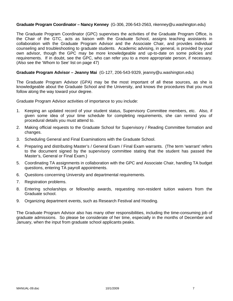# **Graduate Program Coordinator – Nancy Kenney** (G-306, 206-543-2563, nkenney@u.washington.edu)

The Graduate Program Coordinator (GPC) supervises the activities of the Graduate Program Office, is the Chair of the GTC, acts as liaison with the Graduate School, assigns teaching assistants in collaboration with the Graduate Program Advisor and the Associate Chair, and provides individual counseling and troubleshooting to graduate students. Academic advising, in general, is provided by your own advisor, though the GPC may be more knowledgeable and up-to-date on some policies and requirements. If in doubt, see the GPC, who can refer you to a more appropriate person, if necessary. (Also see the 'Whom to See' list on page 47)

#### **Graduate Program Advisor – Jeanny Mai** (G-127, 206-543-9329, jeanny@u.washington.edu)

The Graduate Program Advisor (GPA) may be the most important of all these sources, as she is knowledgeable about the Graduate School and the University, and knows the procedures that you must follow along the way toward your degree.

Graduate Program Advisor activities of importance to you include:

- 1. Keeping an updated record of your student status, Supervisory Committee members, etc. Also, if given some idea of your time schedule for completing requirements, she can remind you of procedural details you must attend to.
- 2. Making official requests to the Graduate School for Supervisory / Reading Committee formation and changes.
- 3. Scheduling General and Final Examinations with the Graduate School.
- 4. Preparing and distributing Master's / General Exam / Final Exam warrants. (The term 'warrant' refers to the document signed by the supervisory committee stating that the student has passed the Master's, General or Final Exam.)
- 5. Coordinating TA assignments in collaboration with the GPC and Associate Chair, handling TA budget questions, entering TA payroll appointments.
- 6. Questions concerning University and departmental requirements.
- 7. Registration problems.
- 8. Entering scholarships or fellowship awards, requesting non-resident tuition waivers from the Graduate school.
- 9. Organizing department events, such as Research Festival and Hooding.

The Graduate Program Advisor also has many other responsibilities, including the time-consuming job of graduate admissions. So please be considerate of her time, especially in the months of December and January, when the input from graduate school applicants peaks.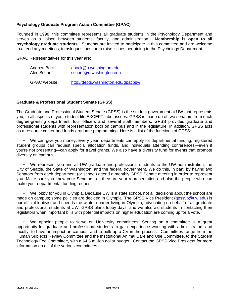# **Psychology Graduate Program Action Committee (GPAC)**

Founded in 1998, this committee represents all graduate students in the Psychology Department and serves as a liaison between students, faculty, and administration. **Membership is open to all psychology graduate students.** Students are invited to participate in this committee and are welcome to attend any meetings, to ask questions, or to raise issues pertaining to the Psychology Department.

GPAC Representatives for this year are:

| Andrew Bock   | abock@u.washington.edu               |  |
|---------------|--------------------------------------|--|
| Alec Scharff  | scharff@u.washington.edu             |  |
| GPAC website: | http://depts.washington.edu/gpacpsy/ |  |

#### **Graduate & Professional Student Senate (GPSS)**

The Graduate and Professional Student Senate (GPSS) is the student government at UW that represents you, in all aspects of your student life EXCEPT labor issues. GPSS is made up of two senators from each degree-granting department, four officers and several staff members. GPSS provides graduate and professional students with representation both on campus and in the legislature. In addition, GPSS acts as a resource center and funds graduate programming. Here is a list of the functions of GPSS:

 • We can give you money. Every year, departments can apply for departmental funding, registered student groups can request special allocation funds, and individuals attending conferences—even if you're not presenting—can apply for travel grants. We also have a diversity fund for events that promote diversity on campus.

 • We represent you and all UW graduate and professional students to the UW administration, the City of Seattle, the State of Washington, and the federal government. We do this, in part, by having two Senators from each department (or school) attend a monthly GPSS Senate meeting in order to represent you. Make sure you know your Senators, as they are your representation and also the people who can make your departmental funding request.

• We lobby for you in Olympia. Because UW is a state school, not all decisions about the school are made on campus; some policies are decided in Olympia. The GPSS Vice President (qpssvp@uw.edu) is our official lobbyist and spends the winter quarter living in Olympia, advocating on behalf of all graduate and professional students at UW. GPSS plans lobby days, and we also aid students in contacting their legislators when important bills with potential impacts on higher education are coming up for a vote.

 • We appoint people to serve on University committees. Serving on a committee is a great opportunity for graduate and professional students to gain experience working with administrators and faculty, to have an impact on campus, and to bulk up a CV in the process. Committees range from the Human Subjects Review Committee and the Institutional Animal Care and Use Committee, to the Student Technology Fee Committee, with a \$4.5 million dollar budget. Contact the GPSS Vice President for more information on all of the various committees.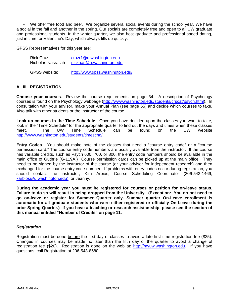• We offer free food and beer. We organize several social events during the school year. We have a social in the fall and another in the spring. Our socials are completely free and open to all UW graduate and professional students. In the winter quarter, we also host graduate and professional speed dating, just in time for Valentine's Day, which always fills up quickly.

GPSS Representatives for this year are:

| <b>Rick Cruz</b>     | cruzr1@u.washington.edu         |  |
|----------------------|---------------------------------|--|
| Nicholas Nasrallah   | nicknas@u.washington.edu        |  |
| <b>GPSS</b> website: | http://www.gpss.washington.edu/ |  |

# **A. III. REGISTRATION**

**Choose your courses**. Review the course requirements on page 34. A description of Psychology courses is found on the Psychology webpage (http://www.washington.edu/students/crscat/psych.html). In consultation with your advisor, make your Annual Plan (see page 65) and decide which courses to take. Also talk with other students or the instructor of the course.

**Look up courses in the Time Schedule**. Once you have decided upon the classes you want to take, look in the "Time Schedule" for the appropriate quarter to find out the days and times when these classes meet. The UW Time Schedule can be found on the UW website http://www.washington.edu/students/timeschd/.

**Entry Codes**. You should make note of the classes that need a "course entry code" or a "course permission card." The course entry code numbers are usually available from the instructor. If the course has variable credits, such as Psych 600, 700, or 800, the entry code numbers should be available in the main office of Guthrie (G-119A.) Course permission cards can be picked up at the main office. They need to be signed by the instructor of the course (or your advisor for independent research) and then exchanged for the course entry code number. If problems with entry codes occur during registration, you should contact the instructor, Kim Arbios, Course Scheduling Coordinator (206-543-1469, karbios@u.washington.edu), or Jeanny.

**During the academic year you must be registered for courses or petition for on-leave status. Failure to do so will result in being dropped from the University. (Exception: You do not need to go on-leave or register for Summer Quarter only. Summer quarter On-Leave enrollment is automatic for all graduate students who were either registered or officially On-Leave during the prior Spring Quarter.) If you have a teaching or research assistantship, please see the section of this manual entitled "Number of Credits" on page 11.** 

#### *Registration*

Registration must be done before the first day of classes to avoid a late first time registration fee (\$25). Changes in courses may be made no later than the fifth day of the quarter to avoid a change of registration fee (\$20). Registration is done on the web at: http://myuw.washington.edu. If you have questions, call Registration at 206-543-8580.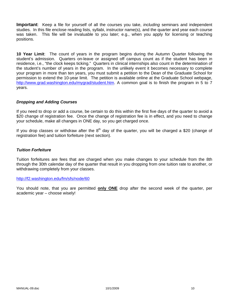**Important**: Keep a file for yourself of all the courses you take, *including* seminars and independent studies. In this file enclose reading lists, syllabi, instructor name(s), and the quarter and year each course was taken. This file will be invaluable to you later; e.g., when you apply for licensing or teaching positions.

**10 Year Limit**: The count of years in the program begins during the Autumn Quarter following the student's admission. Quarters on-leave or assigned off campus count as if the student has been in residence, i.e., "the clock keeps ticking." Quarters in clinical internships also count in the determination of the student's number of years in the program. In the unlikely event it becomes necessary to complete your program in more than ten years, you must submit a petition to the Dean of the Graduate School for permission to extend the 10-year limit. The petition is available online at the Graduate School webpage, http://www.grad.washington.edu/mygrad/student.htm. A common goal is to finish the program in 5 to 7 years.

# *Dropping and Adding Courses*

If you need to drop or add a course, be certain to do this within the first five days of the quarter to avoid a \$20 change of registration fee. Once the change of registration fee is in effect, and you need to change your schedule, make all changes in ONE day, so you get charged once.

If you drop classes or withdraw after the  $8<sup>th</sup>$  day of the quarter, you will be charged a \$20 (change of registration fee) and tuition forfeiture (next section).

#### *Tuition Forfeiture*

Tuition forfeitures are fees that are charged when you make changes to your schedule from the 8th through the 30th calendar day of the quarter that result in you dropping from one tuition rate to another, or withdrawing completely from your classes.

#### http://f2.washington.edu/fm/sfs/node/60

You should note, that you are permitted **only ONE** drop after the second week of the quarter, per academic year – choose wisely!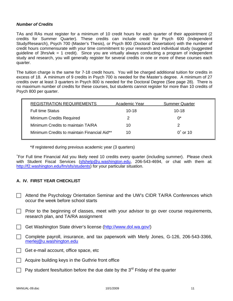### *Number of Credits*

TAs and RAs must register for a minimum of 10 credit hours for each quarter of their appointment (2 credits for Summer Quarter). These credits can include credit for Psych 600 (Independent Study/Research), Psych 700 (Master's Thesis), or Psych 800 (Doctoral Dissertation) with the number of credit hours commensurate with your time commitment to your research and individual study (suggested guideline of 3hrs/wk = 1 credit). Since you are virtually always conducting a program of independent study and research, you will generally register for several credits in one or more of these courses each quarter.

The tuition charge is the same for 7-18 credit hours. You will be charged additional tuition for credits in excess of 18. A minimum of 9 credits in Psych 700 is needed for the Master's degree. A minimum of 27 credits over at least 3 quarters in Psych 800 is needed for the Doctoral Degree (See page 28). There is no maximum number of credits for these courses, but students cannot register for more than 10 credits of Psych 800 per quarter.

| <b>REGISTRATION REQUIREMENTS</b>            | Academic Year | <b>Summer Quarter</b> |
|---------------------------------------------|---------------|-----------------------|
| <b>Full time Status</b>                     | $10 - 18$     | $10 - 18$             |
| <b>Minimum Credits Required</b>             | 2             | $0^*$                 |
| Minimum Credits to maintain TA/RA           | 10            | 2                     |
| Minimum Credits to maintain Financial Aid** | 10            | $0^{\circ}$ or 10     |
|                                             |               |                       |

\*If registered during previous academic year (3 quarters)

+ For Full time Financial Aid you likely need 10 credits every quarter (including summer). Please check with Student Fiscal Services (sfshelp@u.washington.edu, 206-543-4694, or chat with them at: http://f2.washington.edu/fm/sfs/students) for your particular situation.

# **A. IV. FIRST YEAR CHECKLIST**

- Attend the Psychology Orientation Seminar and the UW's CIDR TA/RA Conferences which occur the week before school starts
- $\Box$  Prior to the beginning of classes, meet with your advisor to go over course requirements, research plan, and TA/RA assignment
- Get Washington State driver's license (http://www.dol.wa.gov/)
- $\Box$  Complete payroll, insurance, and tax paperwork with Merly Jones, G-126, 206-543-3366, merlej@u.washington.edu
- $\Box$  Get e-mail account, office space, etc
- Acquire building keys in the Guthrie front office
- Pay student fees/tuition before the due date by the  $3<sup>rd</sup>$  Friday of the quarter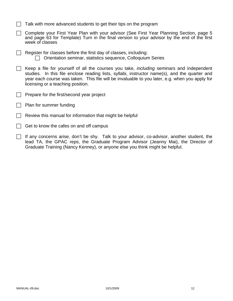- $\Box$  Talk with more advanced students to get their tips on the program
- ◯ Complete your First Year Plan with your advisor (See First Year Planning Section, page 5 and page 63 for Template) Turn in the final version to your advisor by the end of the first week of classes
- $\Box$  Register for classes before the first day of classes, including:  $\Box$  Orientation seminar, statistics sequence, Colloquium Series
- $\Box$  Keep a file for yourself of all the courses you take, *including* seminars and independent studies. In this file enclose reading lists, syllabi, instructor name(s), and the quarter and year each course was taken. This file will be invaluable to you later, e.g. when you apply for licensing or a teaching position.
- Prepare for the first/second year project
- $\Box$  Plan for summer funding
- Review this manual for information that might be helpful
- $\Box$  Get to know the cafes on and off campus
- $\Box$  If any concerns arise, don't be shy. Talk to your advisor, co-advisor, another student, the lead TA, the GPAC reps, the Graduate Program Advisor (Jeanny Mai), the Director of Graduate Training (Nancy Kenney), or anyone else you think might be helpful.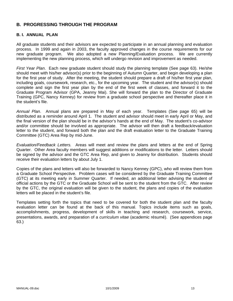# **B. PROGRESSING THROUGH THE PROGRAM**

# **B. I. ANNUAL PLAN**

All graduate students and their advisors are expected to participate in an annual planning and evaluation process. In 1999 and again in 2003, the faculty approved changes in the course requirements for our new graduate program. We also adopted a new Planning/Evaluation process. We are currently implementing the new planning process, which will undergo revision and improvement as needed.

*First Year Plan*. Each new graduate student should study the planning template (See page 63). He/she should meet with his/her advisor(s) prior to the beginning of Autumn Quarter, and begin developing a plan for the first year of study. After the meeting, the student should prepare a draft of his/her first year plan, including goals, coursework, research, etc., for the upcoming year. The student and the advisor(s) should complete and sign the first year plan by the end of the first week of classes, and forward it to the Graduate Program Advisor (GPA, Jeanny Mai). She will forward the plan to the Director of Graduate Training (GPC, Nancy Kenney) for review from a graduate school perspective and thereafter place it in the student's file.

*Annual Plan*. Annual plans are prepared in May of each year. Templates (See page 65) will be distributed as a reminder around April 1. The student and advisor should meet in early April or May, and the final version of the plan should be in the advisor's hands at the end of May. The student's co-advisor and/or committee should be involved as appropriate. The advisor will then draft a feedback/evaluation letter to the student, and forward both the plan and the draft evaluation letter to the Graduate Training Committee (GTC) Area Rep by mid-June.

*Evaluation/Feedback Letters.* Areas will meet and review the plans and letters at the end of Spring Quarter. Other Area faculty members will suggest additions or modifications to the letter. Letters should be signed by the advisor and the GTC Area Rep, and given to Jeanny for distribution. Students should receive their evaluation letters by about July 1.

Copies of the plans and letters will also be forwarded to Nancy Kenney (GPC), who will review them from a Graduate School Perspective. Problem cases will be considered by the Graduate Training Committee (GTC) at its meeting early in Summer Quarter. If needed, an additional letter advising the student of official actions by the GTC or the Graduate School will be sent to the student from the GTC. After review by the GTC, the original evaluation will be given to the student, the plans and copies of the evaluation letters will be placed in the student's file.

Templates setting forth the topics that need to be covered for both the student plan and the faculty evaluation letter can be found at the back of this manual. Topics include items such as goals, accomplishments, progress, development of skills in teaching and research, coursework, service, presentations, awards, and preparation of a *curriculum vitae* (academic résumé). (See appendices page 63.)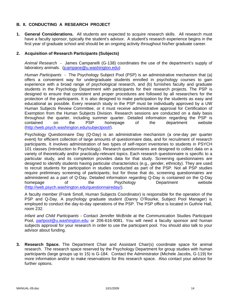# **B. II. CONDUCTING A RESEARCH PROJECT**

**1. General Considerations.** All students are expected to acquire research skills. All research must have a faculty sponsor, typically the student's advisor. A student's research experience begins in the first year of graduate school and should be an ongoing activity throughout his/her graduate career.

### **2. Acquisition of Research Participants (Subjects)**

*Animal Research* - James Campanelli (G-138) coordinates the use of the department's supply of laboratory animals. (jcampane@u.washington.edu)

*Human Participants -* The Psychology Subject Pool (PSP) is an administrative mechanism that (a) offers a convenient way for undergraduate students enrolled in psychology courses to gain experience with a broad range of psychological research, and (b) furnishes faculty and graduate students in the Psychology Department with participants for their research projects. The PSP is designed to ensure that consistent and proper procedures are followed by all researchers for the protection of the participants. It is also designed to make participation by the students as easy and educational as possible. Every research study in the PSP must be individually approved by a UW Human Subjects Review Committee, or it must receive administrative approval for Certification of Exemption from the Human Subjects Division. Research sessions are conducted on a daily basis throughout the quarter, including summer quarter. Detailed information regarding the PSP is contained on the PSP homepage of the department website (http://web.psych.washington.edu/subjectpool/).

Psychology Questionnaire Day (Q-Day) is an administrative mechanism (a one-day per quarter event) for efficient collection of large amounts of questionnaire data, and for recruitment of research participants. It involves administration of two types of self-report inventories to students in PSYCH 101 classes (Introduction to Psychology). Research questionnaires are designed to collect data on a variety of theoretically and/or practically-relevant topics. Each research questionnaire is specific to a particular study, and its completion provides data for that study. Screening questionnaires are designed to identify students having particular characteristics (e.g., gender, ethnicity). They are used to recruit students for participation in studies conducted as part of the PSP. Not all PSP studies require preliminary screening of participants; but for those that do, screening questionnaires are administered as a part of Q-Day. Detailed information regarding Q-Day is contained on the Q-Day homepage of the Psychology Department website (http://web.psych.washington.edu/questionnaireday/).

A faculty member (Frank Smoll, Human Subjects Coordinator) is responsible for the operation of the PSP and Q-Day. A psychology graduate student (Danny O'Rourke, Subject Pool Manager) is employed to conduct the day-to-day operations of the PSP. The PSP office is located in Guthrie Hall, room 232.

*Infant and Child Participants* - Contact Jennifer McBride at the Communication Studies Participant Pool, partpool@u.washington.edu or 206-616-9081. You will need a faculty sponsor and human subjects approval for your research in order to use the participant pool. You should also talk to your advisor about funding.

**3. Research Space.** The Department Chair and Assistant Chair(s) coordinate space for animal research. The research space reserved by the Psychology Department for group studies with human participants (large groups up to 15) is G-184. Contact the Administrator (Michele Jacobs, G-119) for more information and/or to make reservations for this research space. Also contact your advisor for further options.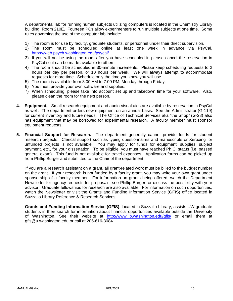A departmental lab for running human subjects utilizing computers is located in the Chemistry Library building, Room 210E. Fourteen PCs allow experimenters to run multiple subjects at one time. Some rules governing the use of the computer lab include:

- 1) The room is for use by faculty, graduate students, or personnel under their direct supervision.
- 2) The room must be scheduled online at least one week in advance via PsyCal, https://web.psych.washington.edu/psycal/
- 3) If you will not be using the room after you have scheduled it, please cancel the reservation in PsyCal so it can be made available to others.
- 4) The room should be scheduled in 30-minute increments. Please keep scheduling requests to 2 hours per day per person, or 10 hours per week. We will always attempt to accommodate requests for more time. Schedule only the time you know you will use.
- 5) The room is available from 8:00 AM to 7:00 PM, Monday through Friday.
- 6) You must provide your own software and supplies.
- 7) When scheduling, please take into account set up and takedown time for your software. Also, please clean the room for the next person.
- **4. Equipment.** Small research equipment and audio-visual aids are available by reservation in PsyCal as well. The department orders new equipment on an annual basis. See the Administrator (G-119) for current inventory and future needs. The Office of Technical Services aka "the Shop" (G-28) also has equipment that may be borrowed for experimental research. A faculty member must sponsor equipment requests.
- **5. Financial Support for Research.** The department generally cannot provide funds for student research projects. Clerical support such as typing questionnaires and manuscripts or Xeroxing for unfunded projects is not available. You may apply for funds for equipment, supplies, subject payment, etc., for your dissertation. To be eligible, you must have reached Ph.C. status (i.e. passed general exam). This fund is not available for travel expenses. Application forms can be picked up from Phillip Burger and submitted to the Chair of the department.

If you are a research assistant on a grant, all grant-related work must be billed to the budget number on the grant. If your research is not funded by a faculty grant, you may write your own grant under sponsorship of a faculty member. For information on grants being offered, watch the Department Newsletter for agency requests for proposals, see Phillip Burger, or discuss the possibility with your advisor. Graduate fellowships for research are also available. For information on such opportunities, watch the Newsletter or visit the Grants and Funding Information Service (GFIS) office located in Suzzallo Library Reference & Research Services.

**Grants and Funding Information Service (GFIS)**, located in Suzzallo Library, assists UW graduate students in their search for information about financial opportunities available outside the University of Washington. See their website at http://www.lib.washington.edu/gfis/ or email them at gfis@u.washington.edu or call at 206-616-3084.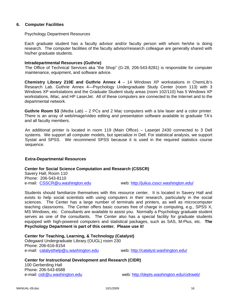### **6. Computer Facilities**

#### Psychology Department Resources

Each graduate student has a faculty advisor and/or faculty person with whom he/she is doing research. The computer facilities of the faculty advisor/research colleague are generally shared with his/her graduate students.

#### **Intradepartmental Resources (Guthrie)**

The Office of Technical Services aka "the Shop" (G-28, 206-543-8281) is responsible for computer maintenance, equipment, and software advice.

**Chemistry Library 210E and Guthrie Annex 4** – 14 Windows XP workstations in ChemLib's Research Lab. Guthrie Annex 4—Psychology Undergraduate Study Center (room 113) with 3 Windows XP workstations and the Graduate Student study areas (room 102/110) has 5 Windows XP workstations, iMac, and HP LaserJet. All of these computers are connected to the Internet and to the departmental network.

**Guthrie Room 53** (Media Lab) – 2 PCs and 2 Mac computers with a b/w laser and a color printer. There is an array of web/image/video editing and presentation software available to graduate TA's and all faculty members.

An additional printer is located in room 119 (Main Office) – Laserjet 2430 connected to 3 Dell systems. We support all computer models, but specialize in Dell. For statistical analysis, we support Systat and SPSS. We recommend SPSS because it is used in the required statistics course sequence.

#### **Extra-Departmental Resources**

#### **Center for Social Science Computation and Research (CSSCR)**

Savery Hall, Room 110 Phone: 206-543-8110

e-mail: CSSCR@u.washington.edu web: http://julius.csscr.washington.edu/

Students should familiarize themselves with this resource center. It is located in Savery Hall and exists to help social scientists with using computers in their research, particularly in the social sciences. The Center has a large number of terminals and printers, as well as microcomputer teaching classrooms. The Center offers basic courses free of charge in computing, e.g., SPSS X, MS Windows, etc. Consultants are available to assist you. Normally a Psychology graduate student serves as one of the consultants. The Center also has a special facility for graduate students equipped with high-powered computers and statistical packages, such as SAS, M-Plus, etc. **The Psychology Department is part of this center. Please use it!**

**Center for Teaching, Learning, & Technology (Catalyst)**  Odegaard Undergraduate Library (OUGL) room 230 Phone: 206-616-8154 e-mail: catalysthelp@u.washington.edu web: http://catalyst.washington.edu/

**Center for Instructional Development and Research (CIDR)**  100 Gerberding Hall Phone: 206-543-6588 e-mail: cidr@u.washington.edu web: http://depts.washington.edu/cidrweb/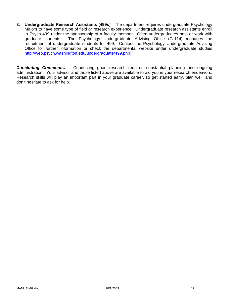**8. Undergraduate Research Assistants (499s**) The department requires undergraduate Psychology Majors to have some type of field or research experience. Undergraduate research assistants enroll in Psych 499 under the sponsorship of a faculty member. Often undergraduates help or work with graduate students. The Psychology Undergraduate Advising Office (G-114) manages the recruitment of undergraduate students for 499. Contact the Psychology Undergraduate Advising Office for further information or check the departmental website under undergraduate studies http://web.psych.washington.edu/undergraduate/499.php).

**Concluding Comments.** Conducting good research requires substantial planning and ongoing administration. Your advisor and those listed above are available to aid you in your research endeavors. Research skills will play an important part in your graduate career, so get started early, plan well, and don't hesitate to ask for help.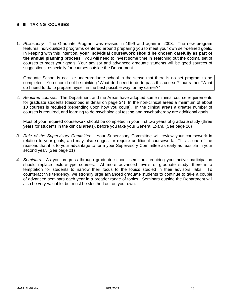# **B. III. TAKING COURSES**

1. *Philosophy.* The Graduate Program was revised in 1999 and again in 2003. The new program features individualized programs centered around preparing you to meet your own self-defined goals. In keeping with this intention, **your individual coursework should be chosen carefully as part of the annual planning process**. You will need to invest some time in searching out the optimal set of courses to meet your goals. Your advisor and advanced graduate students will be good sources of suggestions, especially for courses outside the Department.

Graduate School is not like undergraduate school in the sense that there is no set program to be completed. You should not be thinking "What do I need to do to pass this course?" but rather "What do I need to do to prepare myself in the best possible way for my career?"

2. *Required courses.* The Department and the Areas have adopted some minimal course requirements for graduate students (described in detail on page 34) In the non-clinical areas a minimum of about 10 courses is required (depending upon how you count). In the clinical areas a greater number of courses is required, and learning to do psychological testing and psychotherapy are additional goals.

Most of your required coursework should be completed in your first two years of graduate study (three years for students in the clinical areas), before you take your General Exam. (See page 26)

- *3. Role of the Supervisory Committee.* Your Supervisory Committee will review your coursework in relation to your goals, and may also suggest or require additional coursework. This is one of the reasons that it is to your advantage to form your Supervisory Committee as early as feasible in your second year. (See page 21)
- *4. Seminars.* As you progress through graduate school, seminars requiring your active participation should replace lecture-type courses. At more advanced levels of graduate study, there is a temptation for students to narrow their focus to the topics studied in their advisors' labs. To counteract this tendency, we strongly urge advanced graduate students to continue to take a couple of advanced seminars each year in a broader range of topics. Seminars outside the Department will also be very valuable, but must be sleuthed out on your own.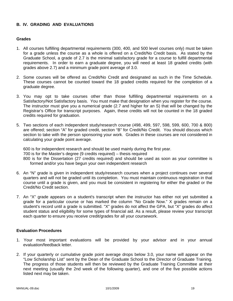# **B. IV. GRADING AND EVALUATIONS**

#### **Grades**

- 1. All courses fulfilling departmental requirements (300, 400, and 500 level courses only) must be taken for a grade unless the course as a whole is offered on a Credit/No Credit basis. As stated by the Graduate School, a grade of 2.7 is the minimal satisfactory grade for a course to fulfill departmental requirements. In order to earn a graduate degree, you will need at least 18 graded credits (with grades above 2.7) and a minimum grade point average of 3.0.
- 2. Some courses will be offered as Credit/No Credit and designated as such in the Time Schedule. These courses cannot be counted toward the 18 graded credits required for the completion of a graduate degree.
- 3. You may opt to take courses other than those fulfilling departmental requirements on a Satisfactory/Not Satisfactory basis. You must make that designation when you register for the course. The instructor must give you a numerical grade (2.7 and higher for an S) that will be changed by the Registrar's Office for transcript purposes. Again, these credits will not be counted in the 18 graded credits required for graduation.
- 5. Two sections of each independent study/research course (498, 499, 597, 598, 599, 600, 700 & 800) are offered; section "A" for graded credit, section "B" for Credit/No Credit. You should discuss which section to take with the person sponsoring your work. Grades in these courses are not considered in calculating your grade point average.

600 is for independent research and should be used mainly during the first year. 700 is for the Master's degree (9 credits required) – thesis required 800 is for the Dissertation (27 credits required) and should be used as soon as your committee is formed and/or you have begun your own independent research

- 6. An "N" grade is given in independent study/research courses when a project continues over several quarters and will not be graded until its completion. You must maintain continuous registration in that course until a grade is given, and you must be consistent in registering for either the graded or the Credit/No Credit section.
- 7. An "X" grade appears on a student's transcript when the instructor has either not yet submitted a grade for a particular course or has marked the column "No Grade Now." X grades remain on a student's record until a grade is submitted. "X" grades do not affect the GPA, but "X" grades do affect student status and eligibility for some types of financial aid. As a result, please review your transcript each quarter to ensure you receive credit/grades for all your coursework.

#### **Evaluation Procedures**

- 1. Your most important evaluations will be provided by your advisor and in your annual evaluation/feedback letter.
- 2. If your quarterly or cumulative grade point average drops below 3.0, your name will appear on the "Low Scholarship List" sent by the Dean of the Graduate School to the Director of Graduate Training. The progress of those students will then be reviewed by the Graduate Training Committee at their next meeting (usually the 2nd week of the following quarter), and one of the five possible actions listed next may be taken.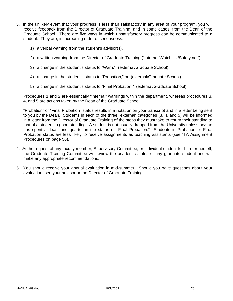- 3. In the unlikely event that your progress is less than satisfactory in any area of your program, you will receive feedback from the Director of Graduate Training, and in some cases, from the Dean of the Graduate School. There are five ways in which unsatisfactory progress can be communicated to a student. They are, in increasing order of seriousness:
	- 1) a verbal warning from the student's advisor(s),
	- 2) a written warning from the Director of Graduate Training ("Internal Watch list/Safety net"),
	- 3) a change in the student's status to "Warn," (external/Graduate School)
	- 4) a change in the student's status to "Probation," or (external/Graduate School)
	- 5) a change in the student's status to "Final Probation." (external/Graduate School)

Procedures 1 and 2 are essentially "internal" warnings within the department, whereas procedures 3, 4, and 5 are actions taken by the Dean of the Graduate School.

"Probation" or "Final Probation" status results in a notation on your transcript and in a letter being sent to you by the Dean. Students in each of the three "external" categories (3, 4, and 5) will be informed in a letter from the Director of Graduate Training of the steps they must take to return their standing to that of a student in good standing. A student is not usually dropped from the University unless he/she has spent at least one quarter in the status of "Final Probation." Students in Probation or Final Probation status are less likely to receive assignments as teaching assistants (see "TA Assignment Procedures on page 56).

- 4. At the request of any faculty member, Supervisory Committee, or individual student for him- or herself, the Graduate Training Committee will review the academic status of any graduate student and will make any appropriate recommendations.
- 5. You should receive your annual evaluation in mid-summer. Should you have questions about your evaluation, see your advisor or the Director of Graduate Training.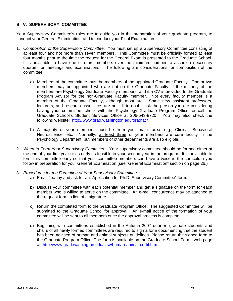# **B. V. SUPERVISORY COMMITTEE**

Your Supervisory Committee's roles are to guide you in the preparation of your graduate program, to conduct your General Examination, and to conduct your Final Examination.

- 1. *Composition of the Supervisory Committee*: You must set up a Supervisory Committee consisting of at least four and not more than seven members. This Committee must be officially formed at least four months prior to the time the request for the General Exam is presented to the Graduate School. It is advisable to have one or more members over the minimum number to assure a necessary quorum for meetings and examinations. The following are considerations for composition of the committee:
	- a) Members of the committee must be members of the appointed Graduate Faculty. One or two members may be appointed who are not on the Graduate Faculty, if the majority of the members are Psychology Graduate Faculty members, and if a CV is provided to the Graduate Program Advisor for the non-Graduate Faculty member. Not every faculty member is a member of the Graduate Faculty, although most are. Some new assistant professors, lecturers, and research associates are not. If in doubt, ask the person you are considering having your committee, check with the Psychology Graduate Program Office, or call the Graduate School's Student Services Office at 206-543-8720. You may also check the following website: http://www.grad.washington.edu/gradfac/
	- b) A majority of your members must be from your major area, e.g., Clinical, Behavioral Neuroscience, etc. Normally, at least three of your members are core faculty in the Psychology Department, but members of other departments are also eligible.
- 2. *When to Form Your Supervisory Committee*: Your supervisory committee should be formed either at the end of your first year or as early as feasible in your second year in the program. It is advisable to form this committee early so that your committee members can have a voice in the curriculum you follow in preparation for your General Examination (see "General Examination" section on page 26.)
- 3. *Procedures for the Formation of Your Supervisory Committee*:
	- a) Email Jeanny and ask for an "Application for Ph.D. Supervisory Committee" form.
	- b) Discuss your committee with each potential member and get a signature on the form for each member who is willing to serve on the committee. An e-mail concurrence may be attached to the request form in lieu of a signature.
	- c) Return the completed form to the Graduate Program Office. The suggested Committee will be submitted to the Graduate School for approval. An e-mail notice of the formation of your committee will be sent to all members once the approval process is complete.
	- d) Beginning with committees established in the Autumn 2007 quarter, graduate students and chairs of all newly formed committees are required to sign a form documenting that the student has been advised of human and animal subjects guidelines. Please return the signed form to the Graduate Program Office. The form is available on the Graduate School Forms web page at: http://www.grad.washington.edu/stsv/human-animal-certif.htm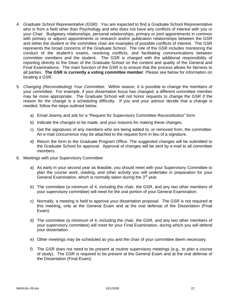- 4. *Graduate School Representative (GSR)*: You are expected to find a Graduate School Representative who is from a field other than Psychology and who does not have any conflicts of interest with you or your Chair. Budgetary relationships, personal relationships, primary or joint appointments in common with primary or adjunct appointments or research and/or publication relationships between the GSR and either the student or the committee chair are examples of possible conflicts of interest. The GSR represents the broad concerns of the Graduate School. The role of the GSR includes monitoring the conduct of the student's exams, resolving conflicts, and facilitating communications between committee members and the student. The GSR is charged with the additional responsibility of reporting directly to the Dean of the Graduate School on the content and quality of the General and Final Examinations. The main function of the GSR is to ensure that the process allows for fairness to all parties. **The GSR is currently a voting committee member**. Please see below for information on locating a GSR.
- 5. *Changing (Reconstituting) Your Committee*: Within reason, it is possible to change the members of your committee. For example, if your dissertation focus has changed, a different committee member may be more appropriate. The Graduate School will not honor requests to change the GSR if the reason for the change is a scheduling difficulty. If you and your advisor decide that a change is needed, follow the steps outlined below.
	- a) Email Jeanny and ask for a "Request for Supervisory Committee Reconstitution" form.
	- b) Indicate the changes to be made, and your reasons for making these changes.
	- c) Get the signatures of any members who are being added to, or removed from, the committee. An e-mail concurrence may be attached to the request form in lieu of a signature.
	- d) Return the form to the Graduate Program Office. The suggested changes will be submitted to the Graduate School for approval. Approval of changes will be sent by e-mail to all committee members.
- 6. Meetings with your Supervisory Committee
	- a) As early in your second year as feasible, you should meet with your Supervisory Committee to plan the course work, reading, and other activity you will undertake in preparation for your General Examination, which is normally taken during the  $3<sup>rd</sup>$  year.
	- b) The committee (a minimum of 4, including the chair, the GSR, and any two other members of your supervisory committee) will meet for the oral portion of your General Examination.
	- c) Normally, a meeting is held to approve your dissertation proposal. The GSR is not required at this meeting, only at the General Exam and at the oral defense of the Dissertation (Final Exam).
	- d) The committee (a minimum of 4, including the chair, the GSR, and any two other members of your supervisory committee) will meet for your Final Examination, during which you will defend your dissertation.
	- e) Other meetings may be scheduled as you and the chair of your committee deem necessary.
	- f) The GSR does not need to be present at routine supervisory meetings (e.g., to plan a course of study). The GSR is required to be present at the General Exam and at the oral defense of the Dissertation (Final Exam).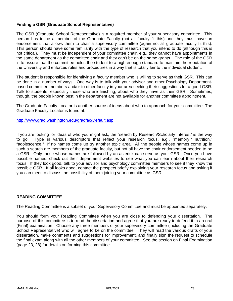# **Finding a GSR (Graduate School Representative)**

The GSR (Graduate School Representative) is a required member of your supervisory committee. This person has to be a member of the Graduate Faculty (not all faculty fit this) and they must have an endorsement that allows them to chair a supervisory committee (again not all graduate faculty fit this). This person should have some familiarity with the type of research that you intend to do (although this is not critical). They must be independent of your committee chair, e.g., they cannot have appointments in the same department as the committee chair and they can't be on the same grants. The role of the GSR is to assure that the committee holds the student to a high enough standard to maintain the reputation of the University and enforces rules and procedures in a way that is totally fair to the individual student.

The student is responsible for identifying a faculty member who is willing to serve as their GSR. This can be done in a number of ways. One way is to talk with your advisor and other Psychology Departmentbased committee members and/or to other faculty in your area seeking their suggestions for a good GSR. Talk to students, especially those who are finishing, about who they have as their GSR. Sometimes, though, the people known best in the department are not available for another committee appointment.

The Graduate Faculty Locator is another source of ideas about who to approach for your committee. The Graduate Faculty Locator is found at:

http://www.grad.washington.edu/gradfac/Default.asp

If you are looking for ideas of who you might ask, the "search by Research/Scholarly Interest" is the way to go. Type in various descriptors that reflect your research focus, e.g., "memory," nutrition," "adolescence." If no names come up try another topic area. All the people whose names come up in such a search are members of the graduate faculty, but not all have the chair endorsement needed to be a GSR. Only those whose names are followed by an asterisk can serve as your GSR. Once you have possible names, check out their department websites to see what you can learn about their research focus. If they look good, talk to your advisor and psychology committee members to see if they know the possible GSR. If all looks good, contact the prospect briefly explaining your research focus and asking if you can meet to discuss the possibility of them joining your committee as GSR.

#### **READING COMMITTEE**

The Reading Committee is a subset of your Supervisory Committee and must be appointed separately.

You should form your Reading Committee when you are close to defending your dissertation. The purpose of this committee is to read the dissertation and agree that you are ready to defend it in an oral (Final) examination. Choose any three members of your supervisory committee (including the Graduate School Representative) who will agree to be on the committee. They will read the various drafts of your dissertation, make comments and suggestions for improvement, and finally sign the request to schedule the final exam along with all the other members of your committee. See the section on Final Examination (page 23, 28) for details on forming this committee.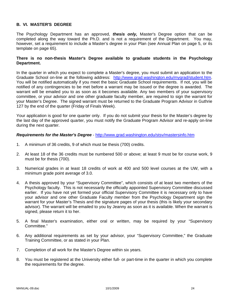# **B. VI. MASTER'S DEGREE**

The Psychology Department has an approved, *thesis only,* Master's Degree option that can be completed along the way toward the Ph.D. and is not a requirement of the Department. You may, however, set a requirement to include a Master's degree in your Plan (see Annual Plan on page 5, or its template on page 65).

### **There is no non-thesis Master's Degree available to graduate students in the Psychology Department.**

In the quarter in which you expect to complete a Master's degree, you must submit an application to the Graduate School on-line at the following address: http://www.grad.washington.edu/mygrad/student.htm. You will be notified automatically if you meet the basic Graduate School requirements. If not, you will be notified of any contingencies to be met before a warrant may be issued or the degree is awarded. The warrant will be emailed you to as soon as it becomes available. Any two members of your supervisory committee, or your advisor and one other graduate faculty member, are required to sign the warrant for your Master's Degree. The signed warrant must be returned to the Graduate Program Advisor in Guthrie 127 by the end of the quarter (Friday of Finals Week).

Your application is good for one quarter only. If you do not submit your thesis for the Master's degree by the last day of the approved quarter, you must notify the Graduate Program Advisor and re-apply on-line during the next quarter.

#### *Requirements for the Master's Degree* - http://www.grad.washington.edu/stsv/mastersinfo.htm

- 1. A minimum of 36 credits, 9 of which must be thesis (700) credits.
- 2. At least 18 of the 36 credits must be numbered 500 or above; at least 9 must be for course work, 9 must be for thesis (700).
- 3. Numerical grades in at least 18 credits of work at 400 and 500 level courses at the UW, with a minimum grade point average of 3.0.
- 4. A thesis approved by your "Supervisory Committee", which consists of at least two members of the Psychology faculty. This is not necessarily the officially appointed Supervisory Committee discussed earlier. If you have not yet formed your official Supervisory Committee it is necessary only to have your advisor and one other Graduate Faculty member from the Psychology Department sign the warrant for your Master's Thesis and the signature pages of your thesis (this is likely your secondary advisor). The warrant will be emailed to you by Jeanny as soon as it is available. When the warrant is signed, please return it to her.
- 5. A final Master's examination, either oral or written, may be required by your "Supervisory Committee."
- 6. Any additional requirements as set by your advisor, your "Supervisory Committee," the Graduate Training Committee, or as stated in your Plan.
- 7. Completion of all work for the Master's Degree within six years.
- 8. You must be registered at the University either full- or part-time in the quarter in which you complete the requirements for the degree.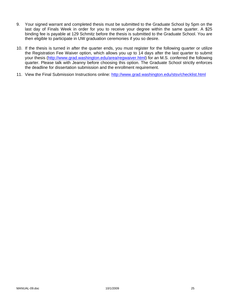- 9. Your signed warrant and completed thesis must be submitted to the Graduate School by 5pm on the last day of Finals Week in order for you to receive your degree within the same quarter. A \$25 binding fee is payable at 129 Schmitz before the thesis is submitted to the Graduate School. You are then eligible to participate in UW graduation ceremonies if you so desire.
- 10. If the thesis is turned in after the quarter ends, you must register for the following quarter or utilize the Registration Fee Waiver option, which allows you up to 14 days after the last quarter to submit your thesis (http://www.grad.washington.edu/area/regwaiver.html) for an M.S. conferred the following quarter. Please talk with Jeanny before choosing this option. The Graduate School strictly enforces the deadline for dissertation submission and the enrollment requirement.
- 11. View the Final Submission Instructions online: http://www.grad.washington.edu/stsv/checklist.html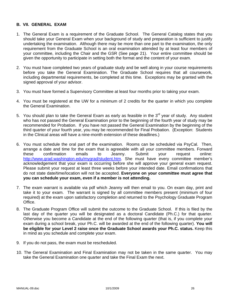# **B. VII. GENERAL EXAM**

- 1. The General Exam is a requirement of the Graduate School. The General Catalog states that you should take your General Exam when your background of study and preparation is sufficient to justify undertaking the examination. Although there may be more than one part to the examination, the only requirement from the Graduate School is an oral examination attended by at least four members of your committee, including the Chair and the GSR (See page 21). Your entire committee should be given the opportunity to participate in setting both the format and the content of your exam.
- 2. You must have completed two years of graduate study and be well along in your course requirements before you take the General Examination. The Graduate School requires that all coursework, including departmental requirements, be completed at this time. Exceptions may be granted with the signed approval of your advisor.
- 3. You must have formed a Supervisory Committee at least four months prior to taking your exam.
- 4. You must be registered at the UW for a minimum of 2 credits for the quarter in which you complete the General Examination.
- 5. You should plan to take the General Exam as early as feasible in the  $3<sup>rd</sup>$  year of study. Any student who has not passed the General Examination prior to the beginning of the fourth year of study may be recommended for Probation. If you have not passed the General Examination by the beginning of the third quarter of your fourth year, you may be recommended for Final Probation. (Exception: Students in the Clinical areas will have a nine-month extension of these deadlines.)
- 6. You must schedule the oral part of the examination. Rooms can be scheduled via PsyCal. Then, arrange a date and time for the exam that is agreeable with all your committee members. Forward these confirmation emails to Jeanny. Submit your request online: http://www.grad.washington.edu/mygrad/student.htm. She must have every committee member's acknowledgement that your exam is occurring before she will approve your general exam request. Please submit your request at least three weeks before your intended date. Email confirmations that do not state date/time/location will not be accepted. **Everyone on your committee must agree that you can schedule your exam, even if a member is not attending.**
- 7. The exam warrant is available via pdf which Jeanny will then email to you. On exam day, print and take it to your exam. The warrant is signed by all committee members present (minimum of four required) at the exam upon satisfactory completion and returned to the Psychology Graduate Program Office.
- 8. The Graduate Program Office will submit the outcome to the Graduate School. If this is filed by the last day of the quarter you will be designated as a doctoral Candidate (Ph.C.) for that quarter. Otherwise you become a Candidate at the end of the following quarter (that is, if you complete your exam during a school break, your Ph.C. will be awarded at the end of the following quarter). **You will be eligible for your Level 2 raise once the Graduate School awards your Ph.C. status.** Keep this in mind as you schedule and complete your exam.
- 9. If you do not pass, the exam must be rescheduled.
- 10. The General Examination and Final Examination may not be taken in the same quarter. You may take the General Examination one quarter and take the Final Exam the next.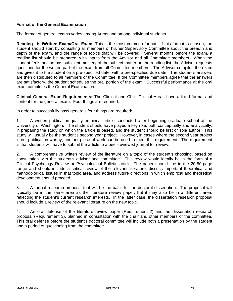# **Format of the General Examination**

The format of general exams varies among Areas and among individual students.

**Reading List/Written Exam/Oral Exam**: This is the most common format. If this format is chosen, the student should start by consulting all members of his/her Supervisory Committee about the breadth and depth of the exam, and the range of topics that will be covered. Several months before the exam, a reading list should be prepared, with inputs from the Advisor and all Committee members. When the student feels he/she has sufficient mastery of the subject matter on the reading list, the Advisor requests questions for the written part of the exam from all Committee members. The Advisor compiles the exam and gives it to the student on a pre-specified date, with a pre-specified due date. The student's answers are then distributed to all members of the Committee. If the Committee members agree that the answers are satisfactory, the student schedules the oral portion of the exam. Successful performance at the oral exam completes the General Examination.

**Clinical General Exam Requirements:** The Clinical and Child Clinical Areas have a fixed format and content for the general exam. Four things are required:

In order to successfully pass generals four things are required:

1. A written publication-quality empirical article conducted after beginning graduate school at the University of Washington. The student should have played a key role, both conceptually and analytically, in preparing the study on which the article is based, and the student should be first or sole author. This study will usually be the student's second year project. However, in cases where the second year project is not publication-worthy, another piece of work can be used to meet this requirement. The requirement is that students will have to submit the article to a peer-reviewed journal for review.

2. A comprehensive written review of the literature on a topic of the student's choosing, based on consultation with the student's advisor and committee. This review would ideally be in the form of a Clinical Psychology Review or Psychological Bulletin article. The paper should be in the 20-50-page range and should include a critical review of the relevant literature, discuss important theoretical and methodological issues in that topic area, and address future directions in which empirical and theoretical development should proceed.

3. A formal research proposal that will be the basis for the doctoral dissertation. The proposal will typically be in the same area as the literature review paper, but it may also be in a different area, reflecting the student's current research interests. In the latter case, the dissertation research proposal should include a review of the relevant literature on the new topic.

4. An oral defense of the literature review paper (Requirement 2) and the dissertation research proposal (Requirement 3), planned in consultation with the chair and other members of the committee. This oral defense before the student's doctoral committee will include both a presentation by the student and a period of questioning from the committee.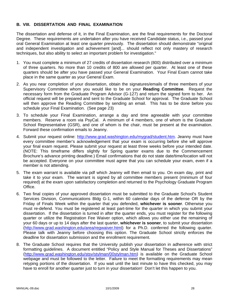# **B. VIII. DISSERTATION AND FINAL EXAMINATION**

The dissertation and defense of it, in the Final Examination, are the final requirements for the Doctoral Degree. These requirements are undertaken after you have received Candidate status, i.e., passed your oral General Examination at least one quarter previously. The dissertation should demonstrate "original and independent investigation and achievement [and]... should reflect not only mastery of research techniques, but also ability to select an important problem for investigation."

- 1. You must complete a minimum of 27 credits of dissertation research (800) distributed over a minimum of three quarters. No more than 10 credits of 800 are allowed per quarter. At least one of these quarters should be after you have passed your General Examination. Your Final Exam cannot take place in the same quarter as your General Exam.
- 2. As you near completion of your dissertation, obtain the signatures/emails of three members of your Supervisory Committee whom you would like to be on your **Reading Committee**. Request the necessary form from the Graduate Program Advisor (G-127) and return the signed form to her. An official request will be prepared and sent to the Graduate School for approval. The Graduate School will then approve the Reading Committee by sending an email. This has to be done before you schedule your Final Examination. (See page 23)
- 3. To schedule your Final Examination, arrange a day and time agreeable with your committee members. Reserve a room via PsyCal. A minimum of 4 members, one of whom is the Graduate School Representative (GSR), and one of whom is the chair, must be present at the examination. Forward these confirmation emails to Jeanny.
- 4. Submit your request online: http://www.grad.washington.edu/mygrad/student.htm. Jeanny must have every committee member's acknowledgement that your exam is occurring before she will approve your final exam request. Please submit your request at least three weeks before your intended date. (NOTE: This timeframe differs slightly for Spring quarter exams due to the Commencement Brochure's advance printing deadline.) Email confirmations that do not state date/time/location will not be accepted. Everyone on your committee must agree that you can schedule your exam, even if a member is not attending.
- 5. The exam warrant is available via pdf which Jeanny will then email to you. On exam day, print and take it to your exam. The warrant is signed by all committee members present (minimum of four required) at the exam upon satisfactory completion and returned to the Psychology Graduate Program Office.
- 6. Two final copies of your approved dissertation must be submitted to the Graduate School's Student Services Division, Communications Bldg G-1, within 60 calendar days of the defense OR by the Friday of Finals Week within the quarter that you defended, **whichever is sooner**. Otherwise you must re-defend. You must be registered at least part-time for the quarter in which you submit your dissertation. If the dissertation is turned in after the quarter ends, you must register for the following quarter or utilize the Registration Fee Waiver option, which allows you either use the remaining of your 60 days or up to 14 days after the last quarter, **whichever is sooner**, to submit your dissertation (http://www.grad.washington.edu/area/regwaiver.html) for a Ph.D. conferred the following quarter. Please talk with Jeanny before choosing this option. The Graduate School strictly enforces the deadline for dissertation submission and the enrollment requirement.
- 8. The Graduate School requires that the University publish your dissertation in adherence with strict formatting guidelines. A document entitled "Policy and Style Manual for Theses and Dissertations" (http://www.grad.washington.edu/stsv/stylman/00stylman.htm) is available on the Graduate School webpage and must be followed to the letter. Failure to meet the formatting requirements may mean retyping portions of the dissertation. If you wait until the last minute to have this checked, you may have to enroll for another quarter just to turn in your dissertation! Don't let this happen to you.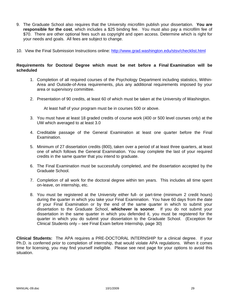- 9. The Graduate School also requires that the University microfilm publish your dissertation. **You are responsible for the cost**, which includes a \$25 binding fee. You must also pay a microfilm fee of \$70. There are other optional fees such as copyright and open access. Determine which is right for your needs and goals. All fees are subject to change.
- 10. View the Final Submission Instructions online: http://www.grad.washington.edu/stsv/checklist.html

#### **Requirements for Doctoral Degree which must be met before a Final Examination will be scheduled**

- 1. Completion of all required courses of the Psychology Department including statistics, Within-Area and Outside-of-Area requirements, plus any additional requirements imposed by your area or supervisory committee.
- 2. Presentation of 90 credits, at least 60 of which must be taken at the University of Washington.

At least half of your program must be in courses 500 or above.

- 3. You must have at least 18 graded credits of course work (400 or 500 level courses only) at the UW which averaged to at least 3.0
- 4. Creditable passage of the General Examination at least one quarter before the Final Examination.
- 5. Minimum of 27 dissertation credits (800), taken over a period of at least three quarters, at least one of which follows the General Examination. You may complete the last of your required credits in the same quarter that you intend to graduate.
- 6. The Final Examination must be successfully completed, and the dissertation accepted by the Graduate School.
- 7. Completion of all work for the doctoral degree within ten years. This includes all time spent on-leave, on internship, etc.
- 8. You must be registered at the University either full- or part-time (minimum 2 credit hours) during the quarter in which you take your Final Examination. You have 60 days from the date of your Final Examination or by the end of the same quarter in which to submit your dissertation to the Graduate School, **whichever is sooner**. If you do not submit your dissertation in the same quarter in which you defended it, you must be registered for the quarter in which you do submit your dissertation to the Graduate School. (Exception for Clinical Students only – see Final Exam before Internship, page 30)

**Clinical Students:** The APA requires a PRE-DOCTORAL INTERNSHIP for a clinical degree. If your Ph.D. is conferred *prior* to completion of internship, that would violate APA regulations. When it comes time for licensing, you may find yourself ineligible. Please see next page for your options to avoid this situation.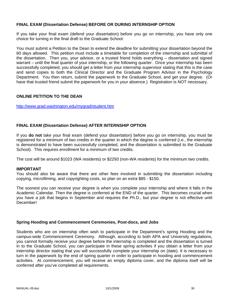# **FINAL EXAM (Dissertation Defense) BEFORE OR DURING INTERNSHIP OPTION**

If you take your final exam (defend your dissertation) before you go on internship, you have only one choice for turning in the final draft to the Graduate School:

You must submit a Petition to the Dean to extend the deadline for submitting your dissertation beyond the 60 days allowed. This petition must include a timetable for completion of the internship and submittal of the dissertation. Then you, your advisor, or a trusted friend holds everything – dissertation and signed warrant – until the final quarter of your internship, or the following quarter. Once your internship has been successfully completed, you should get a letter from your internship supervisor stating that this is the case and send copies to both the Clinical Director and the Graduate Program Advisor in the Psychology Department. You then return, submit the paperwork to the Graduate School, and get your degree. (Or have that trusted friend submit the paperwork for you in your absence.) Registration is NOT necessary.

#### **ONLINE PETITION TO THE DEAN**

http://www.grad.washington.edu/mygrad/student.htm

# **FINAL EXAM (Dissertation Defense) AFTER INTERNSHIP OPTION**

If you **do not** take your final exam (defend your dissertation) before you go on internship, you must be registered for a minimum of two credits in the quarter in which the degree is conferred (i.e., the internship is demonstrated to have been successfully completed, and the dissertation is submitted to the Graduate School). This requires enrollment for a minimum of two credits.

The cost will be around \$1023 (WA residents) or \$2293 (non-WA residents) for the minimum two credits.

#### **IMPORTANT**

You should also be aware that there are other fees involved in submitting the dissertation including copying, microfilming, and copyrighting costs, so plan on an extra \$85 - \$150.

The soonest you can receive your degree is when you complete your internship and where it falls in the Academic Calendar. Then the degree is conferred at the END of the quarter. This becomes crucial when you have a job that begins in September and requires the Ph.D., but your degree is not effective until December!

#### **Spring Hooding and Commencement Ceremonies, Post-docs, and Jobs**

Students who are on internship often wish to participate in the Department's spring Hooding and the campus-wide Commencement Ceremony. Although, according to both APA and University regulations, you cannot formally receive your degree before the internship is completed and the dissertation is turned in to the Graduate School, you can participate in these spring activities if you obtain a letter from your internship director stating that you will successfully complete your internship on (date). It is necessary to turn in the paperwork by the end of spring quarter in order to participate in hooding and commencement activities. At commencement, you will receive an empty diploma cover, and the diploma itself will be conferred after you've completed all requirements.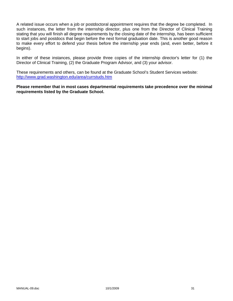A related issue occurs when a job or postdoctoral appointment requires that the degree be completed. In such instances, the letter from the internship director, plus one from the Director of Clinical Training stating that you will finish all degree requirements by the closing date of the internship, has been sufficient to start jobs and postdocs that begin before the next formal graduation date. This is another good reason to make every effort to defend your thesis before the internship year ends (and, even better, before it begins).

In either of these instances, please provide three copies of the internship director's letter for (1) the Director of Clinical Training, (2) the Graduate Program Advisor, and (3) your advisor.

These requirements and others, can be found at the Graduate School's Student Services website: http://www.grad.washington.edu/area/currstuds.htm

**Please remember that in most cases departmental requirements take precedence over the minimal requirements listed by the Graduate School.**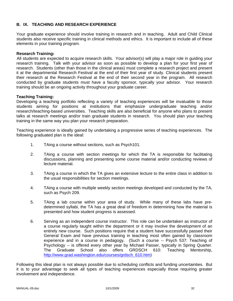# **B. IX. TEACHING AND RESEARCH EXPERIENCE**

Your graduate experience should involve training in research and in teaching. Adult and Child Clinical students also receive specific training in clinical methods and ethics. It is important to include all of these elements in your training program.

#### **Research Training:**

All students are expected to acquire research skills. Your advisor(s) will play a major role in guiding your research training. Talk with your advisor as soon as possible to develop a plan for your first year of research. Students (other than those in the clinical areas) must complete a research project and present it at the departmental Research Festival at the end of their first year of study. Clinical students present their research at the Research Festival at the end of their second year in the program. All research conducted by graduate students must have a faculty sponsor, typically your advisor. Your research training should be an ongoing activity throughout your graduate career.

# **Teaching Training:**

Developing a teaching portfolio reflecting a variety of teaching experiences will be invaluable to those students aiming for positions at institutions that emphasize undergraduate teaching and/or research/teaching-based universities. Teaching skills are also beneficial for anyone who plans to present talks at research meetings and/or train graduate students in research. You should plan your teaching training in the same way you plan your research preparation.

Teaching experience is ideally gained by undertaking a progressive series of teaching experiences. The following graduated plan is the ideal:

- 1. TAing a course without sections, such as Psych101.
- 2. TAing a course with section meetings for which the TA is responsible for facilitating discussions, planning and presenting some course material and/or conducting reviews of lecture material.
- 3. TAing a course in which the TA gives an extensive lecture to the entire class in addition to the usual responsibilities for section meetings.
- 4. TAing a course with multiple weekly section meetings developed and conducted by the TA, such as Psych 209.
- 5. TAing a lab course within your area of study. While many of these labs have predetermined syllabi, the TA has a great deal of freedom in determining how the material is presented and how student progress is assessed.
- 6. Serving as an independent course instructor. This role can be undertaken as instructor of a course regularly taught within the department or it may involve the development of an entirely new course. Such positions require that a student have successfully passed their General Exam and have previous training in teaching most often gained by classroom experience and in a course in pedagogy. (Such a course -- Psych 537: Teaching of Psychology -- is offered every other year by Michael Passer, typically in Spring Quarter. The Graduate School also offers GRDSCH 610: Teaching Mentorship, http://www.grad.washington.edu/courses/grdsch\_610.htm)

Following this ideal plan is not always possible due to scheduling conflicts and funding uncertainties. But it is to your advantage to seek all types of teaching experiences especially those requiring greater involvement and independence.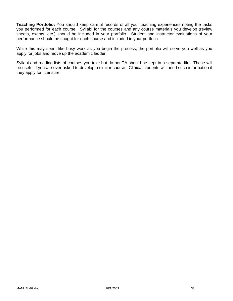**Teaching Portfolio:** You should keep careful records of all your teaching experiences noting the tasks you performed for each course. Syllabi for the courses and any course materials you develop (review sheets, exams, etc.) should be included in your portfolio. Student and instructor evaluations of your performance should be sought for each course and included in your portfolio.

While this may seem like busy work as you begin the process, the portfolio will serve you well as you apply for jobs and move up the academic ladder.

Syllabi and reading lists of courses you take but do not TA should be kept in a separate file. These will be useful if you are ever asked to develop a similar course. Clinical students will need such information if they apply for licensure.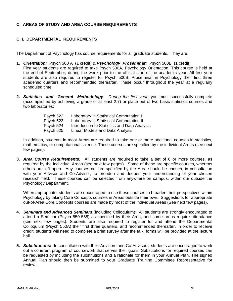# **C. AREAS OF STUDY AND AREA COURSE REQUIREMENTS**

# **C. I. DEPARTMENTAL REQUIREMENTS**

The Department of Psychology has course requirements for all graduate students. They are:

- **1.** *Orientation:* Psych 500 A (1 credit) & *Psychology Proseminar:* Psych 500B (1 credit) First year students are required to take Psych 500A, Psychology Orientation. This course is held at the end of September, during the week prior to the official start of the academic year. All first year students are also required to register for Psych 500B, Proseminar in Psychology their first three academic quarters and recommended thereafter. These occur throughout the year at a regularly scheduled time.
- **2.** *Statistics and General Methodology: During the first year*, you must successfully complete (accomplished by achieving a grade of at least 2.7) or place out of two basic statistics courses and two laboratories:

| Psych 522 | Laboratory in Statistical Computation I      |
|-----------|----------------------------------------------|
| Psych 523 | Laboratory in Statistical Computation II     |
| Psych 524 | Introduction to Statistics and Data Analysis |
| Psych 525 | Linear Models and Data Analysis              |
|           |                                              |

In addition, students in most Areas are required to take one or more additional courses in statistics, mathematics, or computational science. These courses are specified by the individual Areas (see next few pages).

**3.** *Area Course Requirements:* All students are required to take a set of 6 or more courses, as required by the individual Areas (see next few pages). Some of these are specific courses, whereas others are left open. Any courses not pre-specified by the Area should be chosen, in consultation with your Advisor and Co-Advisor, to broaden and deepen your understanding of your chosen research field. These courses can be selected from anywhere on campus, within our outside the Psychology Department.

When appropriate, students are encouraged to use these courses to broaden their perspectives within Psychology by taking Core Concepts courses in Areas outside their own. Suggestions for appropriate out-of-Area Core Concepts courses are made by most of the individual Areas (See next few pages).

- **4.** *Seminars and Advanced Seminars* (including Colloquium): All students are strongly encouraged to attend a Seminar (Psych 550-558) as specified by their Area, and some areas require attendance (see next few pages). Students are also required to register for and attend the Departmental Colloquium (Psych 550A) their first three quarters, and recommended thereafter. In order to receive credit, students will need to complete a brief survey after the talk; forms will be provided at the lecture hall.
- **5.** *Substitutions***:** In consultation with their Advisors and Co-Advisors, students are encouraged to work out a coherent program of coursework that serves their goals. Substitutions for required courses can be requested by including the substitutions and a rationale for them in your Annual Plan. The signed Annual Plan should then be submitted to your Graduate Training Committee Representative for review.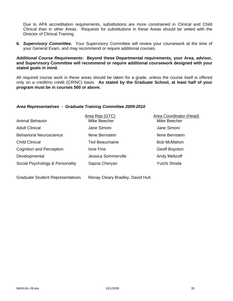Due to APA accreditation requirements, substitutions are more constrained in Clinical and Child Clinical than in other Areas. Requests for substitutions in these Areas should be vetted with the Director of Clinical Training.

**6.** *Supervisory Committee.* Your Supervisory Committee will review your coursework at the time of your General Exam, and may recommend or require additional courses.

### *Additional Course Requirements***: Beyond these Departmental requirements, your Area, advisor, and Supervisory Committee will recommend or require additional coursework designed with your stated goals in mind.**

All required course work in these areas should be taken for a grade, unless the course itself is offered only on a credit/no credit (CR/NC) basis. **As stated by the Graduate School, at least half of your program must be in courses 500 or above.**

#### *Area Representatives - Graduate Training Committee 2009-2010*

|                                 | Area Rep (GTC)        | Area Coordinator (Head) |
|---------------------------------|-----------------------|-------------------------|
| <b>Animal Behavior</b>          | Mike Beecher          | Mike Beecher            |
| <b>Adult Clinical</b>           | Jane Simoni           | Jane Simoni             |
| <b>Behavioral Neuroscience</b>  | Ilene Bernstein       | Ilene Bernstein         |
| <b>Child Clinical</b>           | <b>Ted Beauchaine</b> | <b>Bob McMahon</b>      |
| <b>Cognition and Perception</b> | lone Fine             | Geoff Boynton           |
| Developmental                   | Jessica Sommerville   | <b>Andy Meltzoff</b>    |
| Social Psychology & Personality | Sapna Cheryan         | Yuichi Shoda            |
|                                 |                       |                         |
|                                 |                       |                         |

Graduate Student Representatives Renay Cleary Bradley, David Huh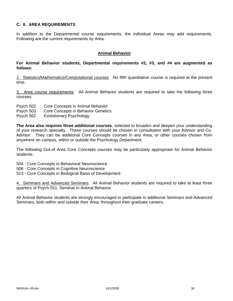## **C. II. AREA REQUIREMENTS**

In addition to the Departmental course requirements, the individual Areas may add requirements. Following are the current requirements by Area.

#### **Animal Behavior**

## **For Animal Behavior students, Departmental requirements #2, #3, and #4 are augmented as follows:**

2. Statistics/Mathematics/Computational courses. No fifth quantitative course is required at the present time.

3. Area course requirements. All Animal Behavior students are required to take the following three courses:

- Psych 502 Core Concepts in Animal Behavior
- Psych 503 Core Concepts in Behavior Genetics
- Psych 562 Evolutionary Psychology

**The Area also requires three additional courses**, selected to broaden and deepen your understanding of your research specialty. These courses should be chosen in consultation with your Advisor and Co-Advisor. They can be additional Core Concepts courses in any Area, or other courses chosen from anywhere on campus, within or outside the Psychology Department.

The following Out-of Area Core Concepts courses may be particularly appropriate for Animal Behavior students:

504 - Core Concepts in Behavioral Neuroscience

- 506 Core Concepts in Cognitive Neuroscience
- 513 Core Concepts in Biological Basis of Development

4. Seminars and Advanced Seminars. All Animal Behavior students are required to take at least three quarters of Psych 551, Seminar in Animal Behavior.

All Animal Behavior students are strongly encouraged to participate in additional Seminars and Advanced Seminars, both within and outside their Area, throughout their graduate careers.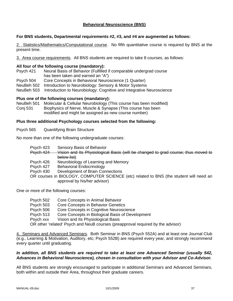## **Behavioral Neuroscience (BNS)**

### **For BNS students, Departmental requirements #2, #3, and #4 are augmented as follows:**

2. Statistics/Mathematics/Computational course. No fifth quantitative course is required by BNS at the present time.

3. Area course requirements. All BNS students are required to take 8 courses, as follows:

#### **All four of the following course (mandatory):**

- Psych 421 Neural Basis of Behavior (Fulfilled if comparable undergrad course has been taken and earned an "A")
- Psych 504 Core Concepts in Behavioral Neuroscience (1 Quarter)
- NeuBeh 502 Introduction to Neurobiology: Sensory & Motor Systems
- NeuBeh 503 Introduction to Neurobiology: Cognitive and Integrative Neuroscience

#### **Plus one of the following courses (mandatory):**

NeuBeh 501 Molecular & Cellular Neurobiology (This course has been modified) Conj 531 Biophysics of Nerve, Muscle & Synapse (This course has been modified and might be assigned as new course number)

#### **Plus three additional Psychology courses selected from the following:**

Psych 565 Quantifying Brain Structure

No more than one of the following undergraduate courses:

- Psych 423 Sensory Basis of Behavior
- Psych 424 Vision and Its Physiological Basis (will be changed to grad course; thus moved to below list)
- Psych 426 Neurobiology of Learning and Memory
- Psych 427 Behavioral Endocrinology
- Psych 430 Development of Brain Connections
- OR courses in BIOLOGY, COMPUTER SCIENCE (etc) related to BNS (the student will need an approval by his/her advisor)

One or more of the following courses:

| Psych 502 | Core Concepts in Animal Behavior                                                |
|-----------|---------------------------------------------------------------------------------|
| Psych 503 | Core Concepts in Behavior Genetics                                              |
| Psych 506 | Core Concepts in Cognitive Neuroscience                                         |
| Psych 513 | Core Concepts in Biological Basis of Development                                |
| Psych xxx | Vision and Its Physiological Basis                                              |
|           | OR other 'related' Psych and NeuB courses (preapproval required by the advisor) |

4. Seminars and Advanced Seminars. Both Seminar in BNS (Psych 552A) and at least one Journal Club (e.g., Learning & Motivation, Auditory, etc; Psych 552B) are required every year, and strongly recommend every quarter until graduating.

### *In addition, all BNS students are required to take at least one Advanced Seminar (usually 542, Advances in Behavioral Neuroscience), chosen in consultation with your Advisor and Co-Advisor.*

All BNS students are strongly encouraged to participate in additional Seminars and Advanced Seminars, both within and outside their Area, throughout their graduate careers.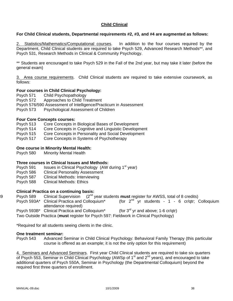## **Child Clinical**

## **For Child Clinical students, Departmental requirements #2, #3, and #4 are augmented as follows:**

2. Statistics/Mathematics/Computational courses. In addition to the four courses required by the Department, Child Clinical students are required to take Psych 529, Advanced Research Methods\*\*, and Psych 531, Research Methods in Clinical & Community Psychology.

\*\* Students are encouraged to take Psych 529 in the Fall of the 2nd year, but may take it later (before the general exam)

3. Area course requirements. Child Clinical students are required to take extensive coursework, as follows:

## **Four courses in Child Clinical Psychology:**

Psych 571 Child Psychopathology

Psych 572 Approaches to Child Treatment

Psych 576/590 Assessment of Intelligence/Practicum in Assessment

Psych 573 Psychological Assessment of Children

### **Four Core Concepts courses:**

Psych 513 Core Concepts in Biological Bases of Development

Psych 514 Core Concepts in Cognitive and Linguistic Development

Psych 515 Core Concepts in Personality and Social Development

Psych 517 Core Concepts in Systems of Psychotherapy

### **One course in Minority Mental Health:**

Psych 580 Minority Mental Health

### **Three courses in Clinical Issues and Methods:**

Psych 591 Issues in Clinical Psychology (AW during 1<sup>st</sup> year)

Psych 586 Clinical Personality Assessment

Psych 587 Clinical Methods: Interviewing

Psych 588 Clinical Methods: Ethics

### **Clinical Practica on a continuing basis:**

89 Psych 589 Clinical Supervision (2nd year students **must** register for AWSS, total of 8 credits)

Psych 593A\* Clinical Practica and Colloquium\* (for  $2^{nd}$  yr students - 1 - 6 cr/qtr; Colloquium attendance required)

Psych 593B\* Clinical Practica and Colloquium\* (for  $3^{rd}$  yr and above; 1-6 cr/qtr)

Two Outside Practica (**must** register for Psych 597: Fieldwork in Clinical Psychology)

\*Required for all students seeing clients in the clinic.

#### **One treatment seminar:**

Psych 543 Advanced Seminar in Child Clinical Psychology: Behavioral Family Therapy (this particular course is offered as an example; it is not the only option for this requirement)

4. Seminars and Advanced Seminars. First year Child Clinical students are required to take six quarters of Psych 553, Seminar in Child Clinical Psychology (AWSp of 1<sup>st</sup> and 2<sup>nd</sup> years), and encouraged to take additional quarters of Psych 550A, Seminar in Psychology (the Departmental Colloquium) beyond the required first three quarters of enrollment.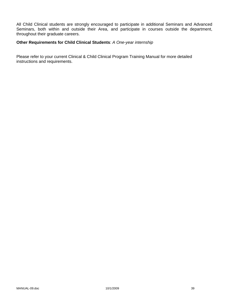All Child Clinical students are strongly encouraged to participate in additional Seminars and Advanced Seminars, both within and outside their Area, and participate in courses outside the department, throughout their graduate careers.

## **Other Requirements for Child Clinical Students**: *A One-year internship*

Please refer to your current Clinical & Child Clinical Program Training Manual for more detailed instructions and requirements.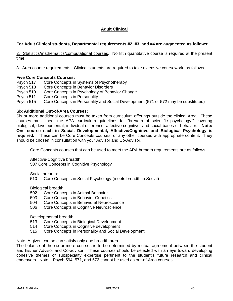# **Adult Clinical**

## **For Adult Clinical students, Departmental requirements #2, #3, and #4 are augmented as follows:**

2. Statistics/mathematics/computational courses. No fifth quantitative course is required at the present time.

3. Area course requirements. Clinical students are required to take extensive coursework, as follows.

## **Five Core Concepts Courses:**

Psych 517 Core Concepts in Systems of Psychotherapy Psych 518 Core Concepts in Behavior Disorders Psych 519 Core Concepts in Psychology of Behavior Change Psych 511 Core Concepts in Personality Psych 515 Core Concepts in Personality and Social Development (571 or 572 may be substituted)

## **Six Additional Out-of-Area Courses:**

Six or more additional courses must be taken from curriculum offerings outside the clinical Area. These courses must meet the APA curriculum guidelines for "breadth of scientific psychology," covering biological, developmental, individual-difference, affective-cognitive, and social bases of behavior. **Note: One course each in Social, Developmental, Affective/Cognitive and Biological Psychology is required***.* These can be Core Concepts courses, or any other courses with appropriate content. They should be chosen in consultation with your Advisor and Co-Advisor.

Core Concepts courses that can be used to meet the APA breadth requirements are as follows:

Affective-Cognitive breadth:

507 Core Concepts in Cognitive Psychology

Social breadth:

510 Core Concepts in Social Psychology (meets breadth in Social)

Biological breadth:

- 502 Core Concepts in Animal Behavior
- 503 Core Concepts in Behavior Genetics
- 504 Core Concepts in Behavioral Neuroscience
- 506 Core Concepts in Cognitive Neuroscience

Developmental breadth:

- 513 Core Concepts in Biological Development
- 514 Core Concepts in Cognitive development
- 515 Core Concepts in Personality and Social Development

Note. A given course can satisfy only one breadth area.

The balance of the six-or-more courses is to be determined by mutual agreement between the student and his/her Advisor and Co-advisor. These courses should be selected with an eye toward developing cohesive themes of subspecialty expertise pertinent to the student's future research and clinical endeavors. Note: Psych 594, 571, and 572 cannot be used as out-of-Area courses.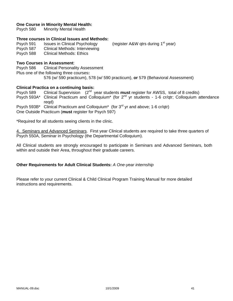## **One Course in Minority Mental Health:**

Psych 580 Minority Mental Health

#### **Three courses in Clinical Issues and Methods:**

Psych 591 Issues in Clinical Psychology (register A&W gtrs during 1<sup>st</sup> year) Psych 587 Clinical Methods: Interviewing Psych 588 Clinical Methods: Ethics

## **Two Courses in Assessment**:

Psych 586 Clinical Personality Assessment Plus one of the following three courses**:**  576 (w/ 590 practicum), 578 (w/ 590 practicum), **or** 579 (Behavioral Assessment)

### **Clinical Practica on a continuing basis:**

Psych 589 Clinical Supervision (2nd year students **must** register for AWSS, total of 8 credits) Psych 593A\* Clinical Practicum and Colloquium<sup>\*</sup> (for 2<sup>nd</sup> yr students - 1-6 cr/qtr; Colloquium attendance reqd) Psych 593B\* Clinical Practicum and Colloquium\* (for 3<sup>rd</sup> yr and above; 1-6 cr/qtr) One Outside Practicum (**must** register for Psych 597)

\*Required for all students seeing clients in the clinic.

4. Seminars and Advanced Seminars. First year Clinical students are required to take three quarters of Psych 550A, Seminar in Psychology (the Departmental Colloquium).

All Clinical students are strongly encouraged to participate in Seminars and Advanced Seminars, both within and outside their Area, throughout their graduate careers.

## **Other Requirements for Adult Clinical Students:** *A One-year internship*

Please refer to your current Clinical & Child Clinical Program Training Manual for more detailed instructions and requirements.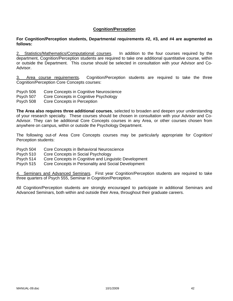## **Cognition/Perception**

### **For Cognition/Perception students, Departmental requirements #2, #3, and #4 are augmented as follows:**

2. Statistics/Mathematics/Computational courses. In addition to the four courses required by the department, Cognition/Perception students are required to take one additional quantitative course, within or outside the Department. This course should be selected in consultation with your Advisor and Co-Advisor.

3. Area course requirements. Cognition/Perception students are required to take the three Cognition/Perception Core Concepts courses:

- Psych 506 Core Concepts in Cognitive Neuroscience
- Psych 507 Core Concepts in Cognitive Psychology
- Psych 508 Core Concepts in Perception

**The Area also requires three additional courses**, selected to broaden and deepen your understanding of your research specialty. These courses should be chosen in consultation with your Advisor and Co-Advisor. They can be additional Core Concepts courses in any Area, or other courses chosen from anywhere on campus, within or outside the Psychology Department.

The following out-of Area Core Concepts courses may be particularly appropriate for Cognition/ Perception students:

- Psych 504 Core Concepts in Behavioral Neuroscience
- Psych 510 Core Concepts in Social Psychology
- Psych 514 Core Concepts in Cognitive and Linguistic Development
- Psych 515 Core Concepts in Personality and Social Development

4. Seminars and Advanced Seminars. First year Cognition/Perception students are required to take three quarters of Psych 555, Seminar in Cognition/Perception.

All Cognition/Perception students are strongly encouraged to participate in additional Seminars and Advanced Seminars, both within and outside their Area, throughout their graduate careers.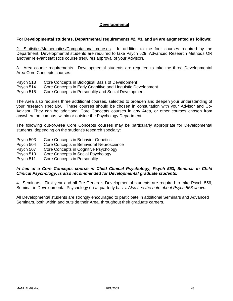## **Developmental**

## **For Developmental students, Departmental requirements #2, #3, and #4 are augmented as follows:**

2. Statistics/Mathematics/Çomputational courses. In addition to the four courses required by the Department, Developmental students are required to take Psych 529, Advanced Research Methods OR another relevant statistics course (requires approval of your Advisor).

3. Area course requirements. Developmental students are required to take the three Developmental Area Core Concepts courses:

- Psych 513 Core Concepts in Biological Basis of Development
- Psych 514 Core Concepts in Early Cognitive and Linguistic Development

Psych 515 Core Concepts in Personality and Social Development

The Area also requires three additional courses, selected to broaden and deepen your understanding of your research specialty. These courses should be chosen in consultation with your Advisor and Co-Advisor. They can be additional Core Concepts courses in any Area, or other courses chosen from anywhere on campus, within or outside the Psychology Department.

The following out-of-Area Core Concepts courses may be particularly appropriate for Developmental students, depending on the student's research specialty:

- Psych 503 Core Concepts in Behavior Genetics
- Psych 504 Core Concepts in Behavioral Neuroscience
- Psych 507 Core Concepts in Cognitive Psychology
- Psych 510 Core Concepts in Social Psychology
- Psych 511 Core Concepts in Personality

## *In lieu of a Core Concepts course in Child Clinical Psychology, Psych 553, Seminar in Child Clinical Psychology, is also recommended for Developmental graduate students.*

4. Seminars. First year and all Pre-Generals Developmental students are required to take Psych 556, Seminar in Developmental Psychology on a quarterly basis. *Also see the note about Psych 553 above.* 

All Developmental students are strongly encouraged to participate in additional Seminars and Advanced Seminars, both within and outside their Area, throughout their graduate careers.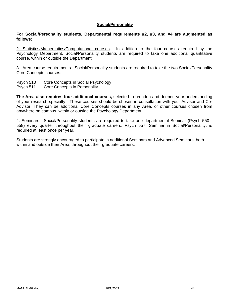#### **Social/Personality**

#### **For Social/Personality students, Departmental requirements #2, #3, and #4 are augmented as follows:**

2. Statistics/Mathematics/Çomputational courses. In addition to the four courses required by the Psychology Department, Social/Personality students are required to take one additional quantitative course, within or outside the Department.

3. Area course requirements. Social/Personality students are required to take the two Social/Personality Core Concepts courses:

Psych 510 Core Concepts in Social Psychology

Psych 511 Core Concepts in Personality

**The Area also requires four additional courses,** selected to broaden and deepen your understanding of your research specialty. These courses should be chosen in consultation with your Advisor and Co-Advisor. They can be additional Core Concepts courses in any Area, or other courses chosen from anywhere on campus, within or outside the Psychology Department.

4. Seminars. Social/Personality students are required to take one departmental Seminar (Psych 550 - 558) every quarter throughout their graduate careers. Psych 557, Seminar in Social/Personality, is required at least once per year.

Students are strongly encouraged to participate in additional Seminars and Advanced Seminars, both within and outside their Area, throughout their graduate careers.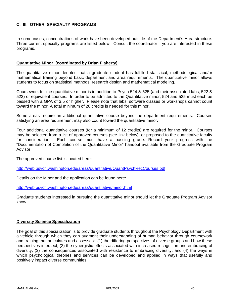## **C. III. OTHER SPECIALTY PROGRAMS**

In some cases, concentrations of work have been developed outside of the Department's Area structure. Three current specialty programs are listed below. Consult the coordinator if you are interested in these programs.

## **Quantitative Minor (coordinated by Brian Flaherty)**

The quantitative minor denotes that a graduate student has fulfilled statistical, methodological and/or mathematical training beyond basic department and area requirements. The quantitative minor allows students to focus on statistical methods, research design and mathematical modeling.

Coursework for the quantitative minor is in addition to Psych 524 & 525 (and their associated labs, 522 & 523) or equivalent courses. In order to be admitted to the Quantitative minor, 524 and 525 must each be passed with a GPA of 3.5 or higher. Please note that labs, software classes or workshops cannot count toward the minor. A total minimum of 20 credits is needed for this minor.

Some areas require an additional quantitative course beyond the department requirements. Courses satisfying an area requirement may also count toward the quantitative minor.

Four additional quantitative courses (for a minimum of 12 credits) are required for the minor. Courses may be selected from a list of approved courses (see link below), or proposed to the quantitative faculty for consideration. Each course must have a passing grade. Record your progress with the "Documentation of Completion of the Quantitative Minor" handout available from the Graduate Program Advisor.

The approved course list is located here:

http://web.psych.washington.edu/areas/quantitative/QuantPsychRecCourses.pdf

Details on the Minor and the application can be found here:

http://web.psych.washington.edu/areas/quantitative/minor.html

Graduate students interested in pursuing the quantitative minor should let the Graduate Program Advisor know.

### **Diversity Science Specialization**

The goal of this specialization is to provide graduate students throughout the Psychology Department with a vehicle through which they can augment their understanding of human behavior through coursework and training that articulates and assesses: (1) the differing perspectives of diverse groups and how these perspectives intersect; (2) the synergistic effects associated with increased recognition and embracing of diversity; (3) the consequences associated with resistance to embracing diversity; and (4) the ways in which psychological theories and services can be developed and applied in ways that usefully and positively impact diverse communities.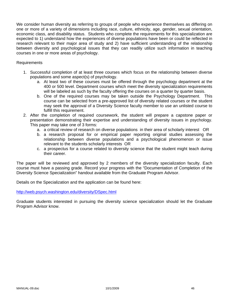We consider human diversity as referring to groups of people who experience themselves as differing on one or more of a variety of dimensions including race, culture, ethnicity, age, gender, sexual orientation, economic class, and disability status. Students who complete the requirements for this specialization are expected to 1) understand how the experiences of diverse populations have been or could be reflected in research relevant to their major area of study and 2) have sufficient understanding of the relationship between diversity and psychological issues that they can readily utilize such information in teaching courses in one or more areas of psychology.

## Requirements

- 1. Successful completion of at least three courses which focus on the relationship between diverse populations and some aspect(s) of psychology.
	- a. At least two of these courses must be offered through the psychology department at the 400 or 500 level. Department courses which meet the diversity specialization requirements will be labeled as such by the faculty offering the courses on a quarter by quarter basis.
	- b. One of the required courses may be taken outside the Psychology Department. This course can be selected from a pre-approved list of diversity related courses or the student may seek the approval of a Diversity Science faculty member to use an unlisted course to fulfill this requirement.
- 2. After the completion of required coursework, the student will prepare a capstone paper or presentation demonstrating their expertise and understanding of diversity issues in psychology. This paper may take one of 3 forms:
	- a. a critical review of research on diverse populations in their area of scholarly interest OR
	- b. a research proposal for or empirical paper reporting original studies assessing the relationship between diverse populations and a psychological phenomenon or issue relevant to the students scholarly interests OR
	- c. a prospectus for a course related to diversity science that the student might teach during their career.

The paper will be reviewed and approved by 2 members of the diversity specialization faculty. Each course must have a passing grade. Record your progress with the "Documentation of Completion of the Diversity Science Specialization" handout available from the Graduate Program Advisor.

Details on the Specialization and the application can be found here:

http://web.psych.washington.edu/diversity/DSpec.html

Graduate students interested in pursuing the diversity science specialization should let the Graduate Program Advisor know.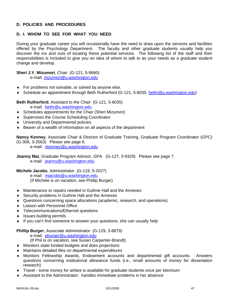## **D. POLICIES AND PROCEDURES**

# **D. I. WHOM TO SEE FOR WHAT YOU NEED**

During your graduate career you will occasionally have the need to draw upon the services and facilities offered by the Psychology Department. The faculty and other graduate students usually help you discover the ins and outs of locating these potential services. The following list of the staff and their responsibilities is included to give you an idea of whom to talk to as your needs as a graduate student change and develop.

## **Sheri J.Y. Mizumori**, Chair (G-121, 5-9660)

e-mail: mizumori@u.washington.edu

- ♦ For problems not solvable, or solved by anyone else.
- ♦ Schedule an appointment through Beth Rutherford (G-121, 5-8035, bethr@u.washington.edu)

**Beth Rutherford**, Assistant to the Chair (G-121, 5-8035)

- e-mail: bethr@u.washington.edu
- ♦ Schedules appointments for the Chair (Sheri Mizumori)
- ♦ Supervises the Course Scheduling Coordinator
- ♦ University and Departmental policies
- ♦ Bearer of a wealth of information on all aspects of the department

**Nancy Kenney**, Associate Chair & Director of Graduate Training, Graduate Program Coordinator (GPC) (G-306, 3-2563) Please see page 6.

e-mail: nkenney@u.washington.edu

**Jeanny Mai**, Graduate Program Advisor, GPA (G-127, 3-9329) Please see page 7. e-mail: jeanny@u.washington.edu

**Michele Jacobs**, Administrator (G-119, 5-2027)

 e-mail: mjacobs@u.washington.edu (If Michele is on vacation, see Phillip Burger)

- ♦ Maintenance or repairs needed in Guthrie Hall and the Annexes
- ♦ Security problems in Guthrie Hall and the Annexes
- ♦ Questions concerning space allocations (academic, research, and operations)
- ♦ Liaison with Personnel Office
- ♦ Telecommunications/Ethernet questions
- ♦ Issues building permits
- ♦ If you can't find someone to answer your questions, she can usually help

### **Phillip Burger**, Associate Administrator (G-129, 3-8879)

e-mail: pburger@u.washington.edu

- (If Phil is on vacation, see Susan Carpenter-Brandt)
- ♦ Monitors state funded budgets and does projections
- ♦ Maintains detailed files on departmental expenditures
- ♦ Monitors Fellowship Awards, Endowment accounts and departmental gift accounts. Answers questions concerning institutional allowance funds (i.e., small amounts of money for dissertation research)
- ♦ Travel some money for airfare is available for graduate students once per biennium
- Assistant to the Administrator: handles immediate problems in her absence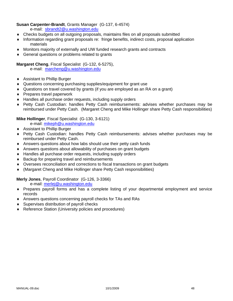# **Susan Carpenter-Brandt**, Grants Manager (G-137, 6-4574)

e-mail: sbrandt2@u.washington.edu

- ♦ Checks budgets on all outgoing proposals, maintains files on all proposals submitted
- ♦ Information regarding grant proposals re: fringe benefits, indirect costs, proposal application materials
- ♦ Monitors majority of externally and UW funded research grants and contracts
- ♦ General questions or problems related to grants

## **Margaret Cheng**, Fiscal Specialist (G-132, 6-5275),

e-mail: marcheng@u.washington.edu

- ♦ Assistant to Phillip Burger
- ♦ Questions concerning purchasing supplies/equipment for grant use
- ♦ Questions on travel covered by grants (if you are employed as an RA on a grant)
- ♦ Prepares travel paperwork
- ♦ Handles all purchase order requests, including supply orders
- ♦ Petty Cash Custodian: handles Petty Cash reimbursements: advises whether purchases may be reimbursed under Petty Cash. (Margaret Cheng and Mike Hollinger share Petty Cash responsibilities)

## **Mike Hollinger**, Fiscal Specialist (G-130, 3-6121)

e-mail: mikeph@u.washington.edu

- ♦ Assistant to Phillip Burger
- ♦ Petty Cash Custodian: handles Petty Cash reimbursements: advises whether purchases may be reimbursed under Petty Cash.
- ♦ Answers questions about how labs should use their petty cash funds
- ♦ Answers questions about allowability of purchases on grant budgets
- ♦ Handles all purchase order requests, including supply orders
- ♦ Backup for preparing travel and reimbursements
- ♦ Oversees reconciliation and corrections to fiscal transactions on grant budgets
- ♦ (Margaret Cheng and Mike Hollinger share Petty Cash responsibilities)

## **Merly Jones**, Payroll Coordinator (G-126, 3-3366)

e-mail: merlej@u.washington.edu

- ♦ Prepares payroll forms and has a complete listing of your departmental employment and service records
- ♦ Answers questions concerning payroll checks for TAs and RAs
- ♦ Supervises distribution of payroll checks
- ♦ Reference Station (University policies and procedures)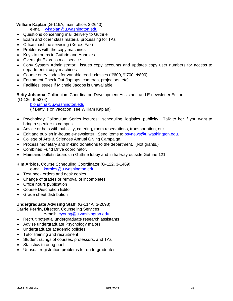## **William Kaplan** (G-119A, main office, 3-2640)

e-mail: wkaplan@u.washington.edu

- ♦ Questions concerning mail delivery to Guthrie
- ♦ Exam and other class material processing for TAs
- ♦ Office machine servicing (Xerox, Fax)
- ♦ Problems with the copy machines
- ♦ Keys to rooms in Guthrie and Annexes
- ♦ Overnight Express mail service
- ♦ Copy System Administrator: issues copy accounts and updates copy user numbers for access to departmental copy machines
- ♦ Course entry codes for variable credit classes (Ψ600, Ψ700, Ψ800)
- ♦ Equipment Check Out (laptops, cameras, projectors, etc)
- ♦ Facilities issues if Michele Jacobs is unavailable

**Betty Johanna**, Colloquium Coordinator, Development Assistant, and E-newsletter Editor

(G-136, 6-5274)

bjohanna@u.washington.edu

(If Betty is on vacation, see William Kaplan)

- ♦ Psychology Colloquium Series lectures: scheduling, logistics, publicity. Talk to her if you want to bring a speaker to campus.
- ♦ Advice or help with publicity, catering, room reservations, transportation, etc.
- ♦ Edit and publish in-house e-newsletter. Send items to psynews@u.washington.edu.
- ♦ College of Arts & Sciences Annual Giving Campaign.
- ♦ Process monetary and in-kind donations to the department. (Not grants.)
- ♦ Combined Fund Drive coordinator.
- ♦ Maintains bulletin boards in Guthrie lobby and in hallway outside Guthrie 121.

**Kim Arbios,** Course Scheduling Coordinator (G-122, 3-1469)

e-mail: karbios@u.washington.edu

- ♦ Text book orders and desk copies
- ♦ Change of grades or removal of incompletes
- ♦ Office hours publication
- ♦ Course Description Editor
- ♦ Grade sheet distribution

### **Undergraduate Advising Staff** (G-114A, 3-2698)

**Carrie Perrin,** Director, Counseling Services

e-mail: cyoung@u.washington.edu

- ♦ Recruit potential undergraduate research assistants
- ♦ Advise undergraduate Psychology majors
- ♦ Undergraduate academic policies
- ♦ Tutor training and recruitment
- ♦ Student ratings of courses, professors, and TAs
- ♦ Statistics tutoring pool
- ♦ Unusual registration problems for undergraduates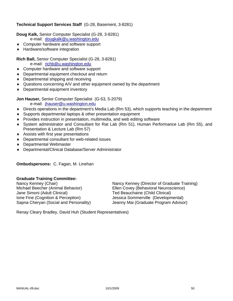## **Technical Support Services Staff** (G-28, Basement, 3-8281)

**Doug Kalk,** Senior Computer Specialist (G-28, 3-8281)

e-mail: dougkalk@u.washington.edu

- ♦ Computer hardware and software support
- ♦ Hardware/software integration

## **Rich Ball,** Senior Computer Specialist (G-28, 3-8281)

e-mail: richb@u.washington.edu

- ♦ Computer hardware and software support
- ♦ Departmental equipment checkout and return
- ♦ Departmental shipping and receiving
- ♦ Questions concerning A/V and other equipment owned by the department
- ♦ Departmental equipment inventory

**Jon Hauser,** Senior Computer Specialist (G-53, 5-2079)

e-mail: jhauser@u.washington.edu

- ♦ Directs operations in the department's Media Lab (Rm 53), which supports teaching in the department
- ♦ Supports departmental laptops & other presentation equipment
- ♦ Provides instruction in presentation, multimedia, and web editing software
- ♦ System administrator and Consultant for Rat Lab (Rm 51), Human Performance Lab (Rm 55), and Presentation & Lecture Lab (Rm 57)
- ♦ Assists with first year presentations
- ♦ Departmental consultant for web-related issues
- ♦ Departmental Webmaster
- ♦ Departmental/Clinical Database/Server Administrator

**Ombudspersons:** C. Fagan, M. Linehan

## **Graduate Training Committee:**

Jane Simoni (Adult Clinical) Ted Beauchaine (Child Clinical) Ione Fine (Cognition & Perception) Jessica Sommerville (Developmental)

Nancy Kenney (Chair)<br>
Mancy Kenney (Director of Graduate Training)<br>
Ellen Covey (Behavioral Neuroscience) Ellen Covey (Behavioral Neuroscience) Sapna Cheryan (Social and Personality) Jeanny Mai (Graduate Program Advisor)

Renay Cleary Bradley, David Huh (Student Representatives)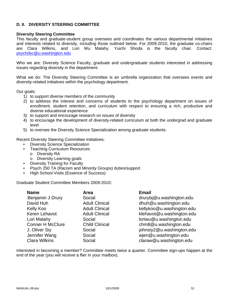## **D. II. DIVERSITY STEERING COMMITTEE**

#### **Diversity Steering Committee**

This faculty and graduate-student group oversees and coordinates the various departmental initiatives and interests related to diversity, including those outlined below. For 2009-2010, the graduate co-chairs are Clara Wilkins, and Lori Wu Malahy. Yuichi Shoda is the faculty chair. Contact: psychdsc@u.washington.edu

Who we are: Diversity Science Faculty, graduate and undergraduate students interested in addressing issues regarding diversity in the department.

What we do: The Diversity Steering Committee is an umbrella organization that oversees events and diversity-related initiatives within the psychology department.

Our goals:

- 1) to support diverse members of the community
- 2) to address the interest and concerns of students to the psychology department on issues of enrollment, student retention, and curriculum with respect to ensuring a rich, productive and diverse educational experience
- 3) to support and encourage research on issues of diversity
- 4) to encourage the development of diversity-related curriculum at both the undergrad and graduate level
- 5) to oversee the Diversity Science Specialization among graduate students.

Recent Diversity Steering Committee Initiatives:

- Diversity Science Specialization
- Teaching Curriculum Resources
	- o Diversity RA
	- o Diversity Learning goals
- Diversity Training for Faculty
- Psych 250 TA (Racism and Minority Groups) duties/support
- High School Visits (Essence of Success)

Graduate Student Committee Members 2009-2010:

| <b>Name</b>             | Area                  | <b>Email</b>              |
|-------------------------|-----------------------|---------------------------|
| Benjamin J Drury        | Social                | drurybj@u.washington.edu  |
| David Huh               | <b>Adult Clinical</b> | dhuh@u.washington.edu     |
| Kelly Koo               | <b>Adult Clinical</b> | kellykoo@u.washington.edu |
| Keren Lehavot           | <b>Adult Clinical</b> | klehavot@u.washington.edu |
| Lori Malahy             | Social                | loriwu@u.washington.edu   |
| <b>Conner H McClure</b> | <b>Child Clinical</b> | chm8@u.washington.edu     |
| J. Oliver Siy           | Social                | johnsiy2@u.washington.edu |
| Jennifer Wang           | Social                | wjen@u.washington.edu     |
| <b>Clara Wilkins</b>    | Social                | claraw@u.washington.edu   |

Interested in becoming a member? Committee meets twice a quarter. Committee sign-ups happen at the end of the year (you will receive a flier in your mailbox).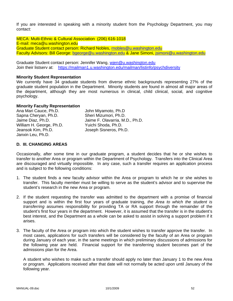If you are interested in speaking with a minority student from the Psychology Department, you may contact:

MECA: Multi-Ethnic & Cultural Association (206) 616-1018 E-mail: meca@u.washington.edu Graduate Student contact person: Richard Nobles, rnobles@u.washington.edu Faculty Advisors: Bill George: bgeorge@u.washington.edu & Jane Simoni, jsimoni@u.washington.edu

Graduate Student contact person: Jennifer Wang, wien@u.washington.edu Join their listserv at: https://mailman1.u.washington.edu/mailman/listinfo/psychdiversity

## **Minority Student Representation**

We currently have 34 graduate students from diverse ethnic backgrounds representing 27% of the graduate student population in the Department. Minority students are found in almost all major areas of the department, although they are most numerous in clinical, child clinical, social, and cognitive psychology.

## **Minority Faculty Representation**

Ana Mari Cauce, Ph.D. John Miyamoto, Ph.D Sapna Cheryan, Ph.D. Sheri Mizumori, Ph.D. Jaime Diaz, Ph.D. Jaime F. Olavarria, M.D., Ph.D. William H. George, Ph.D. Yuichi Shoda, Ph.D. Jeansok Kim, Ph.D. Joseph Sisneros, Ph.D. Janxin Leu, Ph.D.

## **D. III. CHANGING AREAS**

Occasionally, after some time in our graduate program, a student decides that he or she wishes to transfer to another Area or program within the Department of Psychology. Transfers into the Clinical Area are discouraged and virtually impossible. In any case, such a transfer requires an application process and is subject to the following conditions:

- 1. The student finds a new faculty advisor within the Area or program to which he or she wishes to transfer. This faculty member must be willing to serve as the student's advisor and to supervise the student's research in the new Area or program.
- 2. If the student requesting the transfer was admitted to the department with a promise of financial support and is within the first four years of graduate training, *the Area to which the student is transferring* assumes responsibility for providing TA or RA support through the remainder of the student's first four years in the department. However, it is assumed that the transfer is in the student's best interest, and the Department as a whole can be asked to assist in solving a support problem if it arises.
- 3. The faculty of the Area or program into which the student wishes to transfer approve the transfer. In most cases, applications for such transfers will be considered by the faculty of an Area or program during January of each year, in the same meetings in which preliminary discussions of admissions for the following year are held. Financial support for the transferring student becomes part of the admissions plan for the Area.

 A student who wishes to make such a transfer should apply no later than January 1 to the new Area or program. Applications received after that date will not normally be acted upon until January of the following year.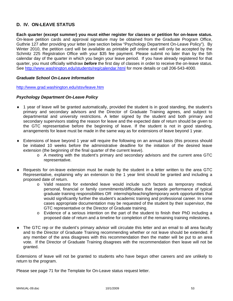# **D. IV. ON-LEAVE STATUS**

**Each quarter (except summer) you must either register for classes or petition for on-leave status.** On-leave petition cards and approval signature may be obtained from the Graduate Program Office, Guthrie 127 after providing your letter (see section below "Psychology Department On-Leave Policy"). By Winter 2010, the petition card will be available as printable pdf online and will only be accepted by the Schmitz 225 Registration Office with your \$35 fee payment. Please submit no later than by the 5th calendar day of the quarter in which you begin your leave period. If you have already registered for that quarter, you must officially withdraw *before* the first day of classes in order to receive the on-leave status. See http://www.washington.edu/students/reg/calendar.html for more details or call 206-543-4000.

### *Graduate School On-Leave Information*

http://www.grad.washington.edu/stsv/leave.htm

### *Psychology Department On-Leave Policy*

- ♦ 1 year of leave will be granted automatically, provided the student is in good standing, the student's primary and secondary advisors and the Director of Graduate Training agrees, and subject to departmental and university restrictions. A letter signed by the student and both primary and secondary supervisors stating the reason for leave and the expected date of return should be given to the GTC representative before the beginning of leave. If the student is not in good standing, arrangements for leave must be made in the same way as for extensions of leave beyond 1 year.
- ♦ Extensions of leave beyond 1 year will require the following on an annual basis (this process should be initiated 10 weeks before the administrative deadline for the initiation of the desired leave extension (the beginning of the final quarter of the current leave).
	- o A meeting with the student's primary and secondary advisors and the current area GTC representative.
- ♦ Requests for on-leave extension must be made by the student in a letter written to the area GTC Representative, explaining why an extension to the 1 year limit should be granted and including a proposed date of return.
	- o Valid reasons for extended leave would include such factors as temporary medical, personal, financial or family commitments/difficulties that impede performance of typical graduate training responsibilities OR internship/teaching/temporary work opportunities that would significantly further the student's academic training and professional career. In some cases appropriate documentation may be requested of the student by their supervisor, the GTC representative or the Director of Graduate training.
	- o Evidence of a serious intention on the part of the student to finish their PhD including a proposed date of return and a timeline for completion of the remaining training milestones.
- ♦ The GTC rep or the student's primary advisor will circulate this letter and an email to all area faculty and to the Director of Graduate Training recommending whether or not leave should be extended. If any member of the area disagrees with this recommendation then the matter will be put to an area vote. If the Director of Graduate Training disagrees with the recommendation then leave will not be granted.

Extensions of leave will not be granted to students who have begun other careers and are unlikely to return to the program.

Please see page 71 for the Template for On-Leave status request letter.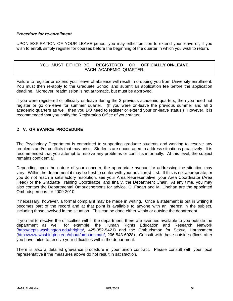## *Procedure for re-enrollment*

UPON EXPIRATION OF YOUR LEAVE period, you may either petition to extend your leave or, if you wish to enroll, simply register for courses before the beginning of the quarter in which you wish to return.

## YOU MUST EITHER BE **REGISTERED** OR **OFFICIALLY ON-LEAVE** EACH ACADEMIC QUARTER.

Failure to register or extend your leave of absence will result in dropping you from University enrollment. You must then re-apply to the Graduate School and submit an application fee before the application deadline. Moreover, readmission is not automatic, but must be approved.

If you were registered or officially on-leave during the 3 previous academic quarters, then you need not register or go on-leave for summer quarter. (If you were on-leave the previous summer and all 3 academic quarters as well, then you DO need to register or extend your on-leave status.) However, it is recommended that you notify the Registration Office of your status.

# **D. V. GRIEVANCE PROCEDURE**

The Psychology Department is committed to supporting graduate students and working to resolve any problems and/or conflicts that may arise. Students are encouraged to address situations proactively. It is recommended that you attempt to resolve any problems or conflicts informally. At this level, the subject remains confidential.

Depending upon the nature of your concern, the appropriate avenue for addressing the situation may vary. Within the department it may be best to confer with your advisor(s) first. If this is not appropriate, or you do not reach a satisfactory resolution, see your Area Representative, your Area Coordinator (Area Head) or the Graduate Training Coordinator, and finally, the Department Chair. At any time, you may also contact the Departmental Ombudspersons for advice. C. Fagan and M. Linehan are the appointed Ombudspersons for 2009-2010.

If necessary, however, a formal complaint may be made in writing. Once a statement is put in writing it becomes part of the record and at that point is available to anyone with an interest in the subject, including those involved in the situation. This can be done either within or outside the department.

If you fail to resolve the difficulties within the department, there are avenues available to you outside the department as well; for example, the Human Rights Education and Research Network (http://depts.washington.edu/hrights/, 425-352-5421) and the Ombudsman for Sexual Harassment (http://www.washington.edu/about/ombudsman/, 206-543-6028). Consult with these outside offices after you have failed to resolve your difficulties within the department.

There is also a detailed grievance procedure in your union contract. Please consult with your local representative if the measures above do not result in satisfaction.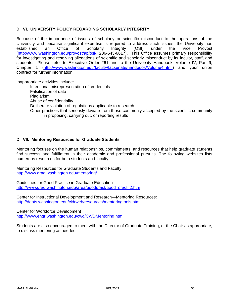## **D. VI. UNIVERSITY POLICY REGARDING SCHOLARLY INTEGRITY**

Because of the importance of issues of scholarly or scientific misconduct to the operations of the University and because significant expertise is required to address such issues, the University has established an Office of Scholarly Integrity (OSI) under the Vice Provost (http://www.washington.edu/provost/ap/osi/, 206-543-6617). This Office assumes primary responsibility for investigating and resolving allegations of scientific and scholarly misconduct by its faculty, staff, and students. Please refer to Executive Order #61 and to the University Handbook, Volume IV, Part 9, Chapter 1 (http://www.washington.edu/faculty/facsenate/handbook/Volume4.html) and your union contract for further information.

Inappropriate activities include:

Intentional misrepresentation of credentials Falsification of data Plagiarism Abuse of confidentiality Deliberate violation of regulations applicable to research Other practices that seriously deviate from those commonly accepted by the scientific community in proposing, carrying out, or reporting results

## **D. VII. Mentoring Resources for Graduate Students**

Mentoring focuses on the human relationships, commitments, and resources that help graduate students find success and fulfillment in their academic and professional pursuits. The following websites lists numerous resources for both students and faculty.

Mentoring Resources for Graduate Students and Faculty http://www.grad.washington.edu/mentoring/

Guidelines for Good Practice in Graduate Education http://www.grad.washington.edu/area/goodpract/good\_pract\_2.htm

Center for Instructional Development and Research—Mentoring Resources: http://depts.washington.edu/cidrweb/resources/mentoringtools.html

Center for Workforce Development http://www.engr.washington.edu/cwd/CWDMentoring.html

Students are also encouraged to meet with the Director of Graduate Training, or the Chair as appropriate, to discuss mentoring as needed.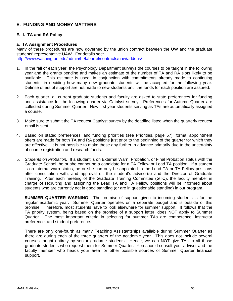# **E. FUNDING AND MONEY MATTERS**

## **E. I. TA and RA Policy**

#### **a. TA Assignment Procedures**

Many of these procedures are now governed by the union contract between the UW and the graduate students' representative UAW. For details see: http://www.washington.edu/admin/hr/laborrel/contracts/uaw/addons/

- 1. In the fall of each year, the Psychology Department surveys the courses to be taught in the following year and the grants pending and makes an estimate of the number of TA and RA slots likely to be available. This estimate is used, in conjunction with commitments already made to continuing students, in deciding how many new graduate students will be accepted for the following year. Definite offers of support are not made to new students until the funds for each position are assured.
- 2. Each quarter, all current graduate students and faculty are asked to state preferences for funding and assistance for the following quarter via Catalyst survey. Preferences for Autumn Quarter are collected during Summer Quarter. New first year students serving as TAs are automatically assigned a course.
- 3. Make sure to submit the TA request Catalyst survey by the deadline listed when the quarterly request email is sent
- 4. Based on stated preferences, and funding priorities (see Priorities, page 57), formal appointment offers are made for both TA and RA positions just prior to the beginning of the quarter for which they are effective. It is not possible to make these any further in advance primarily due to the uncertainty of course registration and research funds.
- 5. *Students on Probation.* If a student is on External Warn, Probation, or Final Probation status with the Graduate School, he or she cannot be a candidate for a TA Fellow or Lead TA position. If a student is on internal warn status, he or she can only be appointed to the Lead TA or TA Fellow positions after consultation with, and approval of, the student's advisor(s) and the Director of Graduate Training. After each meeting of the Graduate Training Committee (GTC), the faculty member in charge of recruiting and assigning the Lead TA and TA Fellow positions will be informed about students who are currently not in good standing (or are in questionable standing) in our program.

**SUMMER QUARTER WARNING**: The promise of support given to incoming students is for the regular academic year. Summer Quarter operates on a separate budget and is outside of this promise. Therefore, most students have to look elsewhere for summer support. It follows that the TA priority system, being based on the promise of a support letter, does NOT apply to Summer Quarter. The most important criteria in selecting for summer TAs are competence, instructor preference, and student preference.

There are only one-fourth as many Teaching Assistantships available during Summer Quarter as there are during each of the three quarters of the academic year. This does not include several courses taught entirely by senior graduate students. Hence, we can NOT give TAs to all those graduate students who request them for Summer Quarter. You should consult your advisor and the faculty member who heads your area for other possible sources of Summer Quarter financial support.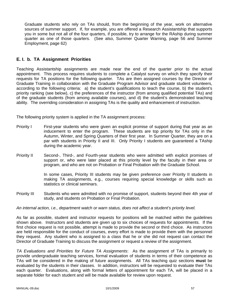Graduate students who rely on TAs should, from the beginning of the year, work on alternative sources of summer support. If, for example, you are offered a Research Assistantship that supports you in some but not all of the four quarters, if possible, try to arrange for the RAship during summer quarter as one of those quarters. (See also, Summer Quarter Warning, page 56 and Summer Employment, page 62)

# **E. I. b. TA Assignment Priorities**

Teaching Assistantship assignments are made near the end of the quarter prior to the actual appointment. This process requires students to complete a Catalyst survey on which they specify their requests for TA positions for the following quarter. TAs are then assigned courses by the Director of Graduate Training in collaboration with the Graduate Program Advisor and graduate student volunteers, according to the following criteria: a) the student's qualifications to teach the course, b) the student's priority ranking (see below), c) the preferences of the instructor (from among qualified potential TAs) and of the graduate students (from among available courses), and d) the student's demonstrated teaching ability. The overriding consideration in assigning TAs is the quality and enhancement of instruction.

The following priority system is applied in the TA assignment process:

- Priority I First-year students who were given an explicit promise of support during that year as an inducement to enter the program. These students are top priority for TAs only in the Autumn, Winter, and Spring Quarters of their first year. In Summer Quarter, they are on a par with students in Priority II and III. Only Priority I students are guaranteed a TAship during the academic year.
- Priority II Second-, Third-, and Fourth-year students who were admitted with explicit promises of support or, who were later placed at this priority level by the faculty in their area or program, and who are not on Probation or Final Probation with the Graduate School.

In some cases, Priority III students may be given preference over Priority II students in making TA assignments, e.g., courses requiring special knowledge or skills such as statistics or clinical seminars.

Priority III Students who were admitted with no promise of support, students beyond their 4th year of study, and students on Probation or Final Probation.

### *An internal action, i.e., department watch or warn status, does not affect a student's priority level.*

As far as possible, student and instructor requests for positions will be matched within the guidelines shown above. Instructors and students are given up to six choices of requests for appointments. If the first choice request is not possible, attempt is made to provide the second or third choice. As instructors are held responsible for the conduct of courses, every effort is made to provide them with the personnel they request. Any student who is assigned to a class that he or she did not request can contact the Director of Graduate Training to discuss the assignment or request a review of the assignment.

*TA Evaluations and Priorities for Future TA Assignments*: As the assignment of TAs is primarily to provide undergraduate teaching services, formal evaluation of students in terms of their competence as TAs will be considered in the making of future assignments. All TAs teaching quiz sections **must** be evaluated by the students in their classes. In addition, instructors will be requested to evaluate their TAs each quarter. Evaluations, along with formal letters of appointment for each TA, will be placed in a separate folder for each student and will be made available for review upon request.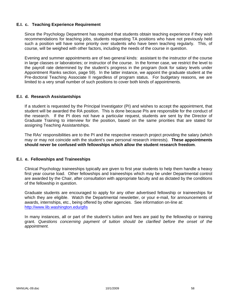## **E.I. c. Teaching Experience Requirement**

Since the Psychology Department has required that students obtain teaching experience if they wish recommendations for teaching jobs, students requesting TA positions who have not previously held such a position will have some priority over students who have been teaching regularly. This, of course, will be weighed with other factors, including the needs of the course in question.

Evening and summer appointments are of two general kinds: assistant to the instructor of the course in large classes or laboratories; or instructor of the course. In the former case, we restrict the level to the payroll rate determined by the student's progress in the program (look for salary levels under Appointment Ranks section, page 59). In the latter instance, we appoint the graduate student at the Pre-doctoral Teaching Associate II regardless of program status. For budgetary reasons, we are limited to a very small number of such positions to cover both kinds of appointments.

### **E.I. d. Research Assistantships**

If a student is requested by the Principal Investigator (PI) and wishes to accept the appointment, that student will be awarded the RA position. This is done because PIs are responsible for the conduct of the research. If the PI does not have a particular request, students are sent by the Director of Graduate Training to interview for the position, based on the same priorities that are stated for assigning Teaching Assistantships.

The RAs' responsibilities are to the PI and the respective research project providing the salary (which may or may not coincide with the student's own personal research interests). **These appointments should never be confused with fellowships which allow the student research freedom**.

### **E.I. e. Fellowships and Traineeships**

Clinical Psychology traineeships typically are given to first year students to help them handle a heavy first year course load. Other fellowships and traineeships which may be under Departmental control are awarded by the Chair, after consultation with appropriate faculty and as dictated by the conditions of the fellowship in question.

Graduate students are encouraged to apply for any other advertised fellowship or traineeships for which they are eligible. Watch the Departmental newsletter, or your e-mail, for announcements of awards, internships, etc., being offered by other agencies. See information on-line at: http://www.lib.washington.edu/gfis

In many instances, all or part of the student's tuition and fees are paid by the fellowship or training grant. *Questions concerning payment of tuition should be clarified before the onset of the appointment.*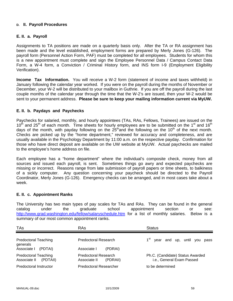## **D. II. Payroll Procedures**

## **E. II. a. Payroll**

Assignments to TA positions are made on a quarterly basis only. After the TA or RA assignment has been made and the level established, employment forms are prepared by Merly Jones (G-126). The payroll form (Personnel Action Form, PAF) must be completed for all employees. Students for whom this is a new appointment must complete and sign the Employee Personnel Data / Campus Contact Data Form, a W-4 form, a Conviction / Criminal History form, and INS form I-9 (Employment Eligibility Verification).

**Income Tax Information.** You will receive a W-2 form (statement of income and taxes withheld) in January following the calendar year worked. If you were on the payroll during the months of November or December, your W-2 will be distributed to your mailbox in Guthrie. If you are off the payroll during the last couple months of the calendar year through the time that the W-2's are issued, then your W-2 would be sent to your permanent address. **Please be sure to keep your mailing information current via MyUW.**

## **E. II. b. Paydays and Paychecks**

Paychecks for salaried, monthly, and hourly appointees (TAs, RAs, Fellows, Trainees) are issued on the  $10<sup>th</sup>$  and 25<sup>th</sup> of each month. Time sheets for hourly employees are to be submitted on the 1<sup>st</sup> and 16<sup>th</sup> days of the month, with payday following on the  $25<sup>th</sup>$  and the following on the 10<sup>th</sup> of the next month. Checks are picked up by the "home department," reviewed for accuracy and completeness, and are usually available in the Psychology Department by 11:00 a.m. on the respective payday. Confirmation for those who have direct deposit are available on the UW website at MyUW. Actual paychecks are mailed to the employee's home address on file.

Each employee has a "home department" where the individual's composite check, money from all sources and issued each payroll, is sent. Sometimes things go awry and expected paychecks are missing or incorrect. Reasons range from late submission of payroll papers or time sheets, to balkiness of a sickly computer. Any question concerning your paycheck should be directed to the Payroll Coordinator, Merly Jones (G-126). Emergency checks can be arranged, and in most cases take about a week.

### **E. II. c. Appointment Ranks**

The University has two main types of pay scales for TAs and RAs. They can be found in the general catalog under the graduate school appointment section or see: http://www.grad.washington.edu/fellow/salaryschedule.htm for a list of monthly salaries. Below is a summary of our most common appointment ranks.

| <b>TAs</b>                                              | RAs                                              | <b>Status</b>                                                 |
|---------------------------------------------------------|--------------------------------------------------|---------------------------------------------------------------|
| <b>Predoctoral Teaching</b><br>generals                 | Predoctoral Research                             | year and up, until you pass                                   |
| Associate I<br>(PDTAI)                                  | Associate I<br>(PDRAI)                           |                                                               |
| <b>Predoctoral Teaching</b><br>Associate II<br>(PDTAII) | Predoctoral Research<br>Associate II<br>(PDRAII) | Ph.C. (Candidate) Status Awarded<br>i.e., General Exam Passed |
| Predoctoral Instructor                                  | <b>Predoctoral Researcher</b>                    | to be determined                                              |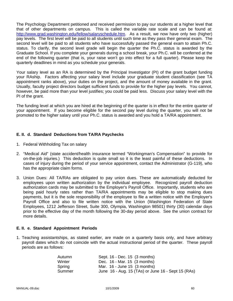The Psychology Department petitioned and received permission to pay our students at a higher level that that of other departments on campus. This is called the variable rate scale and can be found at: http://www.grad.washington.edu/fellow/salaryschedule.htm. As a result, we now have only two (higher) pay levels. The first level will be paid to all students until such time as they pass their general exam. The second level will be paid to all students who have successfully passed the general exam to attain Ph.C. status. To clarify, the second level grade will begin the quarter the Ph.C. status is awarded by the Graduate School. If you complete your generals during a school break, your Ph.C. will be conferred at the end of the following quarter (that is, your raise won't go into effect for a full quarter). Please keep the quarterly deadlines in mind as you schedule your generals.

Your salary level as an RA is determined by the Principal Investigator (PI) of the grant budget funding your RAship. Factors affecting your salary level include your graduate student classification (see TA appointment ranks above), your duties on the project, and the amount of money available in the grant. Usually, faculty project directors budget sufficient funds to provide for the higher pay levels. You cannot, however, be paid more than your level justifies; you could be paid less. Discuss your salary level with the PI of the grant.

The funding level at which you are hired at the beginning of the quarter is in effect for the entire quarter of your appointment. If you become eligible for the second pay level during the quarter, you will not be promoted to the higher salary until your Ph.C. status is awarded and you hold a TA/RA appointment.

## **E. II. d. Standard Deductions from TA/RA Paychecks**

- 1. Federal Withholding Tax on salary
- 2. "Medical Aid" (state accident/health insurance termed "Workingman's Compensation" to provide for on-the-job injuries.) This deduction is quite small so it is the least painful of these deductions. In cases of injury during the period of your service appointment, contact the Administrator (G-119), who has the appropriate claim forms.
- 3. Union Dues: All TA/RAs are obligated to pay union dues. These are automatically deducted for employees upon written authorization by the individual employee. Recognized payroll deduction authorization cards may be submitted to the Employer's Payroll Office. Importantly, students who are being paid hourly rates rather than TA/RA appointments may be eligible to stop making dues payments, but it is the sole responsibility of the employee to file a written notice with the Employer's Payroll Office and also to file written notice with the Union (Washington Federation of State Employees, 1212 Jefferson Street, Suite 300, Olympia, Washington 98501) thirty (30) calendar days prior to the effective day of the month following the 30-day period above. See the union contract for more details.

### **E. II. e. Standard Appointment Periods**

1. Teaching assistantships, as stated earlier, are made on a quarterly basis only, and have arbitrary payroll dates which do not coincide with the actual instructional period of the quarter. These payroll periods are as follows:

| Autumn | Sept. 16 - Dec. 15 (3 months)                      |
|--------|----------------------------------------------------|
| Winter | Dec. 16 - Mar. 15 (3 months)                       |
| Spring | Mar. $16$ - June 15 $(3 \text{ months})$           |
| Summer | June 16 - Aug. 15 (TAs) or June 16 - Sept 15 (RAs) |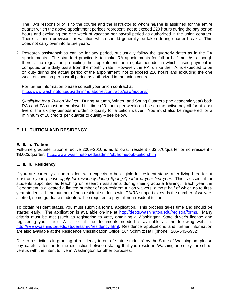The TA's responsibility is to the course and the instructor to whom he/she is assigned for the entire quarter which the above appointment periods represent, not to exceed 220 hours during the pay period hours and excluding the one week of vacation per payroll period as authorized in the union contract. There is now a provision for vacation which should generally be taken during quarter breaks. This does not carry over into future years.

2. Research assistantships can be for any period, but usually follow the quarterly dates as in the TA appointments. The standard practice is to make RA appointments for full or half months, although there is no regulation prohibiting the appointment for irregular periods, in which cases payment is computed on a daily basis from the monthly rate. However, the RA, unlike the TA, is expected to be on duty during the actual period of the appointment, not to exceed 220 hours and excluding the one week of vacation per payroll period as authorized in the union contract.

For further information please consult your union contract at http://www.washington.edu/admin/hr/laborrel/contracts/uaw/addons/

*Qualifying for a Tuition Waiver*: During Autumn, Winter, and Spring Quarters (the academic year) both RAs and TAs must be employed full time (20 hours per week) and be on the active payroll for at least five of the six pay periods in order to qualify for a tuition waiver. You must also be registered for a minimum of 10 credits per quarter to qualify – see below.

# **E. III. TUITION AND RESIDENCY**

### **E. III. a. Tuition**

Full-time graduate tuition effective 2009-2010 is as follows: resident - \$3,576/quarter or non-resident - \$8,023/quarter. http://www.washington.edu/admin/pb/home/opb-tuition.htm

### **E. III. b. Residency**

If you are currently a non-resident who expects to be eligible for resident status after living here for at least one year, *please apply for residency during Spring Quarter of your first year*. This is essential for students appointed as teaching or research assistants during their graduate training. Each year the Department is allocated a limited number of non-resident tuition waivers, almost half of which go to firstyear students. If the number of non-resident students with TA/RA support exceeds the number of waivers allotted, some graduate students will be required to pay full non-resident tuition.

To obtain resident status, you must submit a formal application. This process takes time and should be started early. The application is available on-line at http://depts.washington.edu/registra/forms. Many criteria must be met (such as registering to vote, obtaining a Washington State driver's license and registering your car.) A list of all the documents needed is available at: the following website: http://www.washington.edu/students/reg/residency.html. Residence applications and further information are also available at the Residence Classification Office, 264 Schmitz Hall (phone: 206-543-5932).

Due to restrictions in granting of residency to out of state "students" by the State of Washington, please pay careful attention to the distinction between stating that you reside in Washington solely for school versus with the intent to live in Washington for other purposes.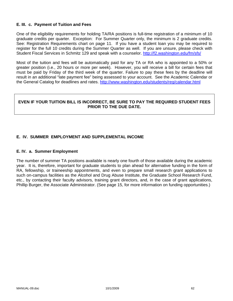## **E. III. c. Payment of Tuition and Fees**

One of the eligibility requirements for holding TA/RA positions is full-time registration of a minimum of 10 graduate credits per quarter. Exception: For Summer Quarter only, the minimum is 2 graduate credits. See: Registration Requirements chart on page 11. If you have a student loan you may be required to register for the full 10 credits during the Summer Quarter as well. If you are unsure, please check with Student Fiscal Services in Schmitz 129 and speak with a counselor. http://f2.washington.edu/fm/sfs/

Most of the tuition and fees will be automatically paid for any TA or RA who is appointed to a 50% or greater position (i.e., 20 hours or more per week). However, you will receive a bill for certain fees that must be paid by Friday of the third week of the quarter. Failure to pay these fees by the deadline will result in an additional "late payment fee" being assessed to your account. See the Academic Calendar or the General Catalog for deadlines and rates. http://www.washington.edu/students/reg/calendar.html

## **EVEN IF YOUR TUITION BILL IS INCORRECT, BE SURE TO PAY THE REQUIRED STUDENT FEES PRIOR TO THE DUE DATE.**

# **E. IV. SUMMER EMPLOYMENT AND SUPPLEMENTAL INCOME**

### **E. IV. a. Summer Employment**

The number of summer TA positions available is nearly one fourth of those available during the academic year. It is, therefore, important for graduate students to plan ahead for alternative funding in the form of RA, fellowship, or traineeship appointments, and even to prepare small research grant applications to such on-campus facilities as the Alcohol and Drug Abuse Institute, the Graduate School Research Fund, etc., by contacting their faculty advisors, training grant directors, and, in the case of grant applications, Phillip Burger, the Associate Administrator. (See page 15, for more information on funding opportunities.)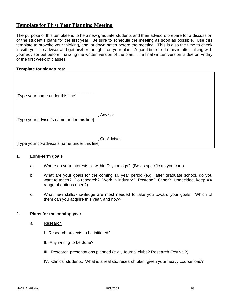# **Template for First Year Planning Meeting**

The purpose of this template is to help new graduate students and their advisors prepare for a discussion of the student's plans for the first year. Be sure to schedule the meeting as soon as possible. Use this template to provoke your thinking, and jot down notes before the meeting. This is also the time to check in with your co-advisor and get his/her thoughts on your plan. A good time to do this is after talking with your advisor but before finalizing the written version of the plan. The final written version is due on Friday of the first week of classes.

## **Template for signatures:**

| [Type your name under this line]              |            |
|-----------------------------------------------|------------|
|                                               | Advisor    |
| [Type your advisor's name under this line]    |            |
| [Type your co-advisor's name under this line] | Co-Advisor |

## **1. Long-term goals**

- a. Where do your interests lie within Psychology? (Be as specific as you can.)
- b. What are your goals for the coming 10 year period (e.g., after graduate school, do you want to teach? Do research? Work in industry? Postdoc? Other? Undecided, keep XX range of options open?)
- c. What new skills/knowledge are most needed to take you toward your goals. Which of them can you acquire this year, and how?

### **2. Plans for the coming year**

- a. Research
	- I. Research projects to be initiated?
	- II. Any writing to be done?
	- III. Research presentations planned (e.g., Journal clubs? Research Festival?)
	- IV. Clinical students: What is a realistic research plan, given your heavy course load?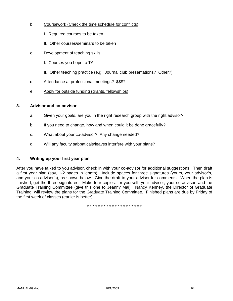- b. Coursework (Check the time schedule for conflicts)
	- I. Required courses to be taken
	- II. Other courses/seminars to be taken
- c. Development of teaching skills
	- I. Courses you hope to TA
	- II. Other teaching practice (e.g., Journal club presentations? Other?)
- d. Attendance at professional meetings? \$\$\$?
- e. Apply for outside funding (grants, fellowships)

### **3. Advisor and co-advisor**

- a. Given your goals, are you in the right research group with the right advisor?
- b. If you need to change, how and when could it be done gracefully?
- c. What about your co-advisor? Any change needed?
- d. Will any faculty sabbaticals/leaves interfere with your plans?

### **4. Writing up your first year plan**

After you have talked to you advisor, check in with your co-advisor for additional suggestions. Then draft a first year plan (say, 1-2 pages in length). Include spaces for three signatures (yours, your advisor's, and your co-advisor's), as shown below. Give the draft to your advisor for comments. When the plan is finished, get the three signatures. Make four copies: for yourself, your advisor, your co-advisor, and the Graduate Training Committee (give this one to Jeanny Mai). Nancy Kenney, the Director of Graduate Training, will review the plans for the Graduate Training Committee. Finished plans are due by Friday of the first week of classes (earlier is better).

\* \* \* \* \* \* \* \* \* \* \* \* \* \* \* \* \* \* \* \*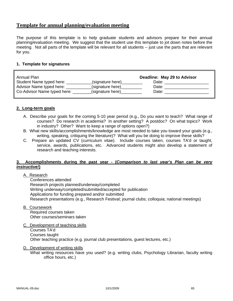# **Template for annual planning/evaluation meeting**

The purpose of this template is to help graduate students and advisors prepare for their annual planning/evaluation meeting. We suggest that the student use this template to jot down notes before the meeting. Not all parts of the template will be relevant for all students -- just use the parts that are relevant for you.

## **1. Template for signatures**

| Annual Plan                 |                  | Deadline: May 29 to Advisor |
|-----------------------------|------------------|-----------------------------|
| Student Name typed here:    | (signature here) | Date:                       |
| Advisor Name typed here:    | (signature here) | Date:                       |
| Co-Advisor Name typed here: | (signature here) | Date:                       |

## **2. Long-term goals**

- A. Describe your goals for the coming 5-10 year period (e.g., Do you want to teach? What range of courses? Do research in academia? In another setting? A postdoc? On what topics? Work in industry? Other? Want to keep a range of options open?)
- B. What new skills/accomplishments/knowledge are most needed to take you toward your goals (e.g., writing, speaking, critiquing the literature)? What will you be doing to improve these skills?
- C. Prepare an updated CV (curriculum vitae). Include courses taken, courses TA'd or taught, service, awards, publications, etc. Advanced students might also develop a statement of research and teaching interests.

### **3. Accomplishments during the past year - (***Comparison to last year's Plan can be very instructive!***)**

A. Research

 Conferences attended Research projects planned/underway/completed Writing underway/completed/submitted/accepted for publication Applications for funding prepared and/or submitted Research presentations (e.g., Research Festival; journal clubs; colloquia; national meetings)

B. Coursework

 Required courses taken Other courses/seminars taken

- C. Development of teaching skills Courses TA'd Courses taught Other teaching practice (e.g. journal club presentations, guest lectures, etc.)
- D. Development of writing skills

 What writing resources have you used? (e.g. writing clubs, Psychology Librarian, faculty writing office hours, etc.)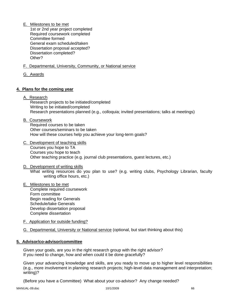E. Milestones to be met

 1st or 2nd year project completed Required coursework completed Committee formed General exam scheduled/taken Dissertation proposal accepted? Dissertation completed? Other?

- F. Departmental, University, Community, or National service
- G. Awards

## **4. Plans for the coming year**

A. Research

 Research projects to be initiated/completed Writing to be initiated/completed Research presentations planned (e.g., colloquia; invited presentations; talks at meetings)

B. Coursework

 Required courses to be taken Other courses/seminars to be taken How will these courses help you achieve your long-term goals?

- C. Development of teaching skills Courses you hope to TA Courses you hope to teach Other teaching practice (e.g. journal club presentations, guest lectures, etc.)
- D. Development of writing skills What writing resources do you plan to use? (e.g. writing clubs, Psychology Librarian, faculty writing office hours, etc.)
- E. Milestones to be met Complete required coursework Form committee Begin reading for Generals Schedule/take Generals Develop dissertation proposal Complete dissertation
- F. Application for outside funding?
- G. Departmental, University or National service (optional, but start thinking about this)

### **5. Advisor/co-advisor/committee**

Given your goals, are you in the right research group with the right advisor? If you need to change, how and when could it be done gracefully?

Given your advancing knowledge and skills, are you ready to move up to higher level responsibilities (e.g., more involvement in planning research projects; high-level data management and interpretation; writing)?

(Before you have a Committee) What about your co-advisor? Any change needed?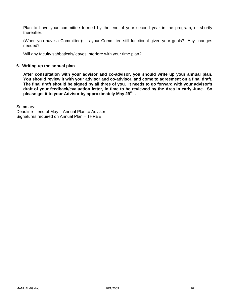Plan to have your committee formed by the end of your second year in the program, or shortly thereafter.

(When you have a Committee): Is your Committee still functional given your goals? Any changes needed?

Will any faculty sabbaticals/leaves interfere with your time plan?

#### **6. Writing up the annual plan**

**After consultation with your advisor and co-advisor, you should write up your annual plan. You should review it with your advisor and co-advisor, and come to agreement on a final draft. The final draft should be signed by all three of you. It needs to go forward with your advisor's draft of your feedback/evaluation letter, in time to be reviewed by the Area in early June. So**  please get it to your Advisor by approximately May 29<sup>tht</sup>.

Summary:

Deadline – end of May – Annual Plan to Advisor Signatures required on Annual Plan – THREE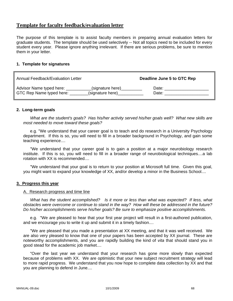# **Template for faculty feedback/evaluation letter**

The purpose of this template is to assist faculty members in preparing annual evaluation letters for graduate students. The template should be used selectively -- Not all topics need to be included for every student every year. Please ignore anything irrelevant. If there are serious problems, be sure to mention them in your letter.

## **1. Template for signatures**

| Annual Feedback/Evaluation Letter |                  | Deadline June 5 to GTC Rep |
|-----------------------------------|------------------|----------------------------|
| Advisor Name typed here:          | (signature here) | Date:                      |
| GTC Rep Name typed here:          | (signature here) | Date:                      |

## **2. Long-term goals**

 *What are the student's goals? Has his/her activity served his/her goals well? What new skills are most needed to move toward these goals?*

e.g. "We understand that your career goal is to teach and do research in a University Psychology department. If this is so, you will need to fill in a broader background in Psychology, and gain some teaching experience....

 "We understand that your career goal is to gain a position at a major neurobiology research institute. If this is so, you will need to fill in a broader range of neurobiological techniques....a lab rotation with XX is recommended....

 "We understand that your goal is to return to your position at Microsoft full time. Given this goal, you might want to expand your knowledge of XX, and/or develop a minor in the Business School....

### **3. Progress this year**

### A. Research progress and time line

 *What has the student accomplished? Is it more or less than what was expected? If less, what obstacles were overcome or continue to stand in the way? How will these be addressed in the future? Do his/her accomplishments serve his/her goals? Be sure to emphasize positive accomplishments.*

 e.g. "We are pleased to hear that your first year project will result in a first-authored publication, and we encourage you to write it up and submit it in a timely fashion....

 "We are pleased that you made a presentation at XX meeting, and that it was well received. We are also very pleased to know that one of your papers has been accepted by XX journal. These are noteworthy accomplishments, and you are rapidly building the kind of *vita* that should stand you in good stead for the academic job market....

 "Over the last year we understand that your research has gone more slowly than expected because of problems with XX. We are optimistic that your new subject recruitment strategy will lead to more rapid progress. We understand that you now hope to complete data collection by XX and that you are planning to defend in June....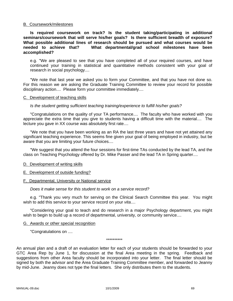#### B. Coursework/milestones

 **Is required coursework on track? Is the student taking/participating in additional seminars/coursework that will serve his/her goals? Is there sufficient breadth of exposure? What possible additional lines of research should be pursued and what courses would be needed to achieve that? What departmental/grad school milestones have been accomplished?**

 e.g. "We are pleased to see that you have completed all of your required courses, and have continued your training in statistical and quantitative methods consistent with your goal of research in social psychology....

 "We note that last year we asked you to form your Committee, and that you have not done so. For this reason we are asking the Graduate Training Committee to review your record for possible disciplinary action.... Please form your committee immediately....

#### C. Development of teaching skills

#### *Is the student getting sufficient teaching training/experience to fulfill his/her goals?*

 "Congratulations on the quality of your TA performance.... The faculty who have worked with you appreciate the extra time that you give to students having a difficult time with the material.... The lecture you gave in XX course was absolutely first rate....

 "We note that you have been working as an RA the last three years and have not yet attained any significant teaching experience. This seems fine given your goal of being employed in industry, but be aware that you are limiting your future choices....

 "We suggest that you attend the four sessions for first-time TAs conducted by the lead TA, and the class on Teaching Psychology offered by Dr. Mike Passer and the lead TA in Spring quarter....

#### D. Development of writing skills

E. Development of outside funding?

#### F. Departmental, University or National service

#### *Does it make sense for this student to work on a service record?*

 e.g. "Thank you very much for serving on the Clinical Search Committee this year. You might wish to add this service to your service record on your *vita*....

 "Considering your goal to teach and do research in a major Psychology department, you might wish to begin to build up a record of departmental, university, or community service....

#### G. Awards or other special recognition

"Congratulations on ....

\*\*\*\*\*\*\*\*\*\*

An annual plan and a draft of an evaluation letter for each of your students should be forwarded to your GTC Area Rep by June 1, for discussion at the final Area meeting in the spring. Feedback and suggestions from other Area faculty should be incorporated into your letter. The final letter should be signed by both the advisor and the Area Graduate Training Committee member, and forwarded to Jeanny by mid-June. Jeanny does not type the final letters. She only distributes them to the students.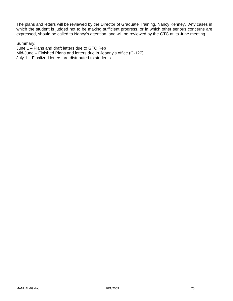The plans and letters will be reviewed by the Director of Graduate Training, Nancy Kenney. Any cases in which the student is judged not to be making sufficient progress, or in which other serious concerns are expressed, should be called to Nancy's attention, and will be reviewed by the GTC at its June meeting.

#### Summary:

June 1 – Plans and draft letters due to GTC Rep Mid-June – Finished Plans and letters due in Jeanny's office (G-127). July 1 – Finalized letters are distributed to students